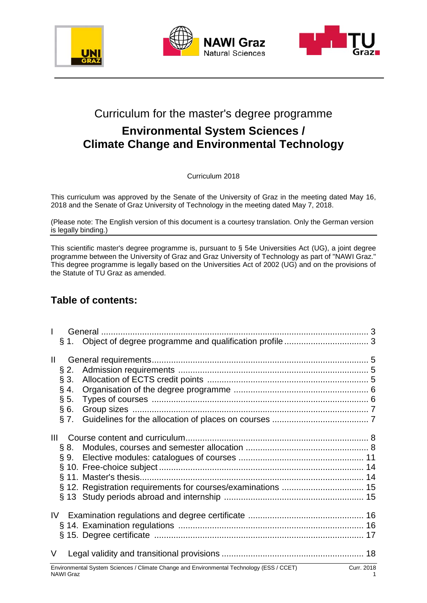





# Curriculum for the master's degree programme

# **Environmental System Sciences / Climate Change and Environmental Technology**

Curriculum 2018

This curriculum was approved by the Senate of the University of Graz in the meeting dated May 16, 2018 and the Senate of Graz University of Technology in the meeting dated May 7, 2018.

(Please note: The English version of this document is a courtesy translation. Only the German version is legally binding.)

This scientific master's degree programme is, pursuant to § 54e Universities Act (UG), a joint degree programme between the University of Graz and Graz University of Technology as part of "NAWI Graz." This degree programme is legally based on the Universities Act of 2002 (UG) and on the provisions of the Statute of TU Graz as amended.

### **Table of contents:**

| $\mathbf{II}$  |                                                                                                        |  |
|----------------|--------------------------------------------------------------------------------------------------------|--|
|                |                                                                                                        |  |
| $\S 2.$        |                                                                                                        |  |
| § 3.           |                                                                                                        |  |
| $§$ 4.         |                                                                                                        |  |
| $\S 5.$        |                                                                                                        |  |
|                | §6.                                                                                                    |  |
|                | § 7.                                                                                                   |  |
|                |                                                                                                        |  |
| $\mathbf{III}$ |                                                                                                        |  |
|                | § 8.                                                                                                   |  |
|                |                                                                                                        |  |
|                |                                                                                                        |  |
|                |                                                                                                        |  |
|                |                                                                                                        |  |
|                |                                                                                                        |  |
|                |                                                                                                        |  |
|                |                                                                                                        |  |
|                |                                                                                                        |  |
|                |                                                                                                        |  |
| V              |                                                                                                        |  |
|                | Environmental System Sciences / Climate Change and Environmental Technology (ESS / CCET)<br>Curr. 2018 |  |

NAWI Graz 1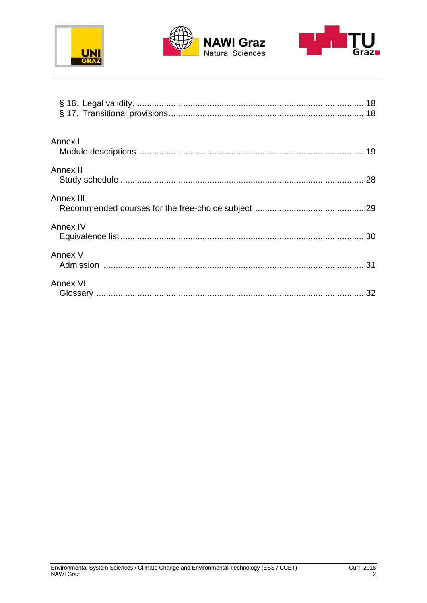





| Annex I   |  |
|-----------|--|
| Annex II  |  |
| Annex III |  |
| Annex IV  |  |
| Annex V   |  |
| Annex VI  |  |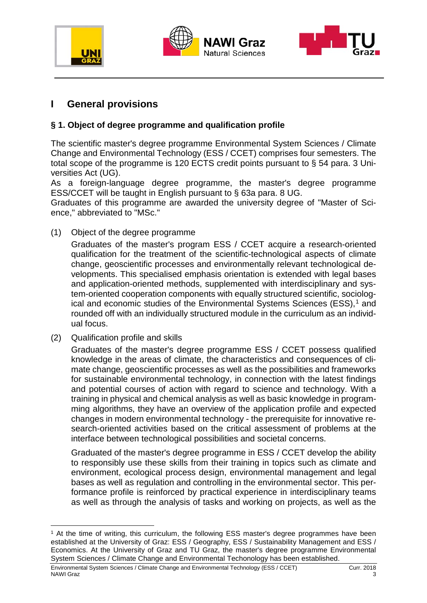





### **I General provisions**

### **§ 1. Object of degree programme and qualification profile**

The scientific master's degree programme Environmental System Sciences / Climate Change and Environmental Technology (ESS / CCET) comprises four semesters. The total scope of the programme is 120 ECTS credit points pursuant to § 54 para. 3 Universities Act (UG).

As a foreign-language degree programme, the master's degree programme ESS/CCET will be taught in English pursuant to § 63a para. 8 UG.

Graduates of this programme are awarded the university degree of "Master of Science," abbreviated to "MSc."

(1) Object of the degree programme

Graduates of the master's program ESS / CCET acquire a research-oriented qualification for the treatment of the scientific-technological aspects of climate change, geoscientific processes and environmentally relevant technological developments. This specialised emphasis orientation is extended with legal bases and application-oriented methods, supplemented with interdisciplinary and system-oriented cooperation components with equally structured scientific, sociolog-ical and economic studies of the Environmental Systems Sciences (ESS),<sup>[1](#page-2-0)</sup> and rounded off with an individually structured module in the curriculum as an individual focus.

(2) Qualification profile and skills

Graduates of the master's degree programme ESS / CCET possess qualified knowledge in the areas of climate, the characteristics and consequences of climate change, geoscientific processes as well as the possibilities and frameworks for sustainable environmental technology, in connection with the latest findings and potential courses of action with regard to science and technology. With a training in physical and chemical analysis as well as basic knowledge in programming algorithms, they have an overview of the application profile and expected changes in modern environmental technology - the prerequisite for innovative research-oriented activities based on the critical assessment of problems at the interface between technological possibilities and societal concerns.

Graduated of the master's degree programme in ESS / CCET develop the ability to responsibly use these skills from their training in topics such as climate and environment, ecological process design, environmental management and legal bases as well as regulation and controlling in the environmental sector. This performance profile is reinforced by practical experience in interdisciplinary teams as well as through the analysis of tasks and working on projects, as well as the

<span id="page-2-0"></span> <sup>1</sup> At the time of writing, this curriculum, the following ESS master's degree programmes have been established at the University of Graz: ESS / Geography, ESS / Sustainability Management and ESS / Economics. At the University of Graz and TU Graz, the master's degree programme Environmental System Sciences / Climate Change and Environmental Techonology has been established.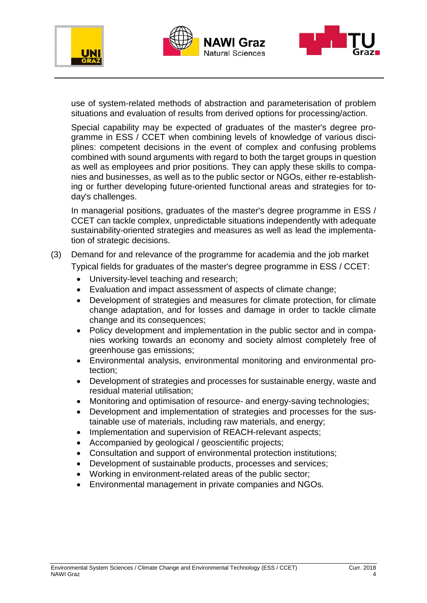





use of system-related methods of abstraction and parameterisation of problem situations and evaluation of results from derived options for processing/action.

Special capability may be expected of graduates of the master's degree programme in ESS / CCET when combining levels of knowledge of various disciplines: competent decisions in the event of complex and confusing problems combined with sound arguments with regard to both the target groups in question as well as employees and prior positions. They can apply these skills to companies and businesses, as well as to the public sector or NGOs, either re-establishing or further developing future-oriented functional areas and strategies for today's challenges.

In managerial positions, graduates of the master's degree programme in ESS / CCET can tackle complex, unpredictable situations independently with adequate sustainability-oriented strategies and measures as well as lead the implementation of strategic decisions.

### (3) Demand for and relevance of the programme for academia and the job market Typical fields for graduates of the master's degree programme in ESS / CCET:

- University-level teaching and research;
- Evaluation and impact assessment of aspects of climate change;
- Development of strategies and measures for climate protection, for climate change adaptation, and for losses and damage in order to tackle climate change and its consequences;
- Policy development and implementation in the public sector and in companies working towards an economy and society almost completely free of greenhouse gas emissions;
- Environmental analysis, environmental monitoring and environmental protection;
- Development of strategies and processes for sustainable energy, waste and residual material utilisation;
- Monitoring and optimisation of resource- and energy-saving technologies;
- Development and implementation of strategies and processes for the sustainable use of materials, including raw materials, and energy;
- Implementation and supervision of REACH-relevant aspects;
- Accompanied by geological / geoscientific projects;
- Consultation and support of environmental protection institutions;
- Development of sustainable products, processes and services;
- Working in environment-related areas of the public sector;
- Environmental management in private companies and NGOs.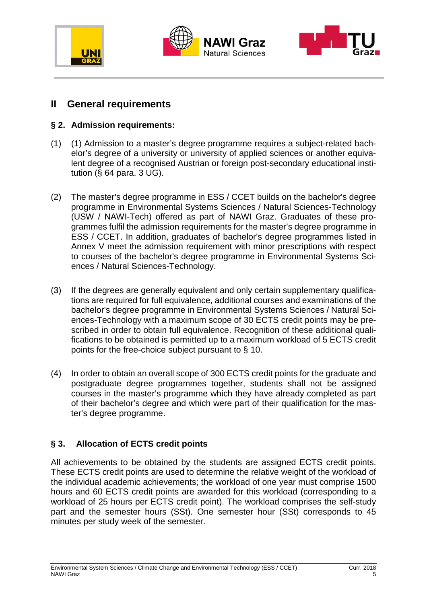





### **II General requirements**

### **§ 2. Admission requirements:**

- (1) (1) Admission to a master's degree programme requires a subject-related bachelor's degree of a university or university of applied sciences or another equivalent degree of a recognised Austrian or foreign post-secondary educational institution (§ 64 para. 3 UG).
- (2) The master's degree programme in ESS / CCET builds on the bachelor's degree programme in Environmental Systems Sciences / Natural Sciences-Technology (USW / NAWI-Tech) offered as part of NAWI Graz. Graduates of these programmes fulfil the admission requirements for the master's degree programme in ESS / CCET. In addition, graduates of bachelor's degree programmes listed in Annex V meet the admission requirement with minor prescriptions with respect to courses of the bachelor's degree programme in Environmental Systems Sciences / Natural Sciences-Technology.
- (3) If the degrees are generally equivalent and only certain supplementary qualifications are required for full equivalence, additional courses and examinations of the bachelor's degree programme in Environmental Systems Sciences / Natural Sciences-Technology with a maximum scope of 30 ECTS credit points may be prescribed in order to obtain full equivalence. Recognition of these additional qualifications to be obtained is permitted up to a maximum workload of 5 ECTS credit points for the free-choice subject pursuant to § 10.
- (4) In order to obtain an overall scope of 300 ECTS credit points for the graduate and postgraduate degree programmes together, students shall not be assigned courses in the master's programme which they have already completed as part of their bachelor's degree and which were part of their qualification for the master's degree programme.

### **§ 3. Allocation of ECTS credit points**

All achievements to be obtained by the students are assigned ECTS credit points. These ECTS credit points are used to determine the relative weight of the workload of the individual academic achievements; the workload of one year must comprise 1500 hours and 60 ECTS credit points are awarded for this workload (corresponding to a workload of 25 hours per ECTS credit point). The workload comprises the self-study part and the semester hours (SSt). One semester hour (SSt) corresponds to 45 minutes per study week of the semester.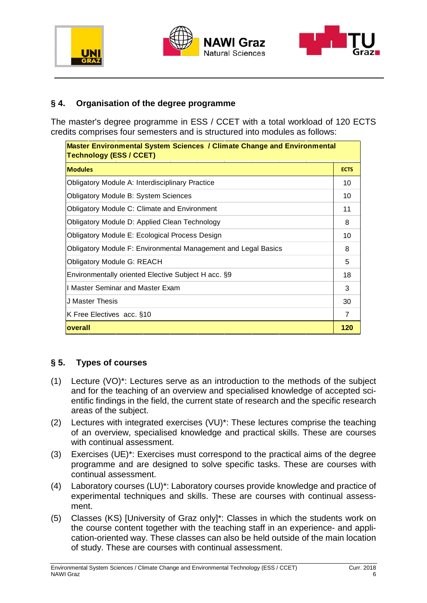





### **§ 4. Organisation of the degree programme**

The master's degree programme in ESS / CCET with a total workload of 120 ECTS credits comprises four semesters and is structured into modules as follows:

| <b>Master Environmental System Sciences / Climate Change and Environmental</b><br><b>Technology (ESS / CCET)</b> |                |  |  |
|------------------------------------------------------------------------------------------------------------------|----------------|--|--|
| <b>Modules</b>                                                                                                   | <b>ECTS</b>    |  |  |
| <b>Obligatory Module A: Interdisciplinary Practice</b>                                                           | 10             |  |  |
| <b>Obligatory Module B: System Sciences</b>                                                                      | 10             |  |  |
| <b>Obligatory Module C: Climate and Environment</b>                                                              | 11             |  |  |
| Obligatory Module D: Applied Clean Technology                                                                    | 8              |  |  |
| <b>Obligatory Module E: Ecological Process Design</b>                                                            | 10             |  |  |
| <b>Obligatory Module F: Environmental Management and Legal Basics</b>                                            | 8              |  |  |
| <b>Obligatory Module G: REACH</b>                                                                                | 5              |  |  |
| Environmentally oriented Elective Subject H acc. §9                                                              | 18             |  |  |
| I Master Seminar and Master Exam                                                                                 | 3              |  |  |
| J Master Thesis                                                                                                  | 30             |  |  |
| K Free Electives acc. §10                                                                                        | $\overline{7}$ |  |  |
| overall                                                                                                          | 120            |  |  |

#### **§ 5. Types of courses**

- (1) Lecture (VO)\*: Lectures serve as an introduction to the methods of the subject and for the teaching of an overview and specialised knowledge of accepted scientific findings in the field, the current state of research and the specific research areas of the subject.
- (2) Lectures with integrated exercises (VU)\*: These lectures comprise the teaching of an overview, specialised knowledge and practical skills. These are courses with continual assessment.
- (3) Exercises (UE)\*: Exercises must correspond to the practical aims of the degree programme and are designed to solve specific tasks. These are courses with continual assessment.
- (4) Laboratory courses (LU)\*: Laboratory courses provide knowledge and practice of experimental techniques and skills. These are courses with continual assessment.
- (5) Classes (KS) [University of Graz only]\*: Classes in which the students work on the course content together with the teaching staff in an experience- and application-oriented way. These classes can also be held outside of the main location of study. These are courses with continual assessment.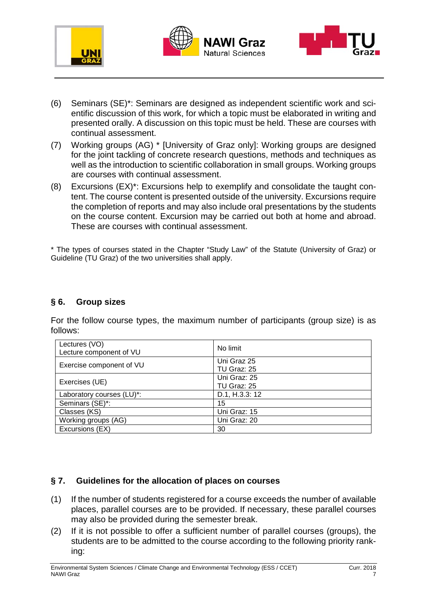





- (6) Seminars (SE)\*: Seminars are designed as independent scientific work and scientific discussion of this work, for which a topic must be elaborated in writing and presented orally. A discussion on this topic must be held. These are courses with continual assessment.
- (7) Working groups (AG) \* [University of Graz only]: Working groups are designed for the joint tackling of concrete research questions, methods and techniques as well as the introduction to scientific collaboration in small groups. Working groups are courses with continual assessment.
- (8) Excursions (EX)\*: Excursions help to exemplify and consolidate the taught content. The course content is presented outside of the university. Excursions require the completion of reports and may also include oral presentations by the students on the course content. Excursion may be carried out both at home and abroad. These are courses with continual assessment.

\* The types of courses stated in the Chapter "Study Law" of the Statute (University of Graz) or Guideline (TU Graz) of the two universities shall apply.

#### **§ 6. Group sizes**

For the follow course types, the maximum number of participants (group size) is as follows:

| Lectures (VO)<br>Lecture component of VU | No limit                    |
|------------------------------------------|-----------------------------|
| Exercise component of VU                 | Uni Graz 25<br>TU Graz: 25  |
| Exercises (UE)                           | Uni Graz: 25<br>TU Graz: 25 |
| Laboratory courses (LU)*:                | D.1, H.3.3: 12              |
| Seminars (SE)*:                          | 15                          |
| Classes (KS)                             | Uni Graz: 15                |
| Working groups (AG)                      | Uni Graz: 20                |
| Excursions (EX)                          | 30                          |

#### **§ 7. Guidelines for the allocation of places on courses**

- (1) If the number of students registered for a course exceeds the number of available places, parallel courses are to be provided. If necessary, these parallel courses may also be provided during the semester break.
- (2) If it is not possible to offer a sufficient number of parallel courses (groups), the students are to be admitted to the course according to the following priority ranking: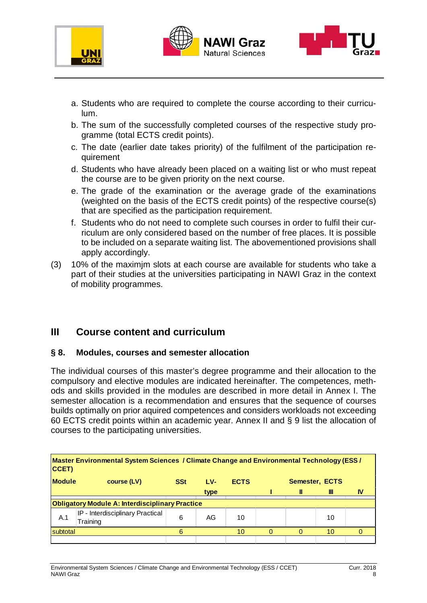





- a. Students who are required to complete the course according to their curriculum.
- b. The sum of the successfully completed courses of the respective study programme (total ECTS credit points).
- c. The date (earlier date takes priority) of the fulfilment of the participation requirement
- d. Students who have already been placed on a waiting list or who must repeat the course are to be given priority on the next course.
- e. The grade of the examination or the average grade of the examinations (weighted on the basis of the ECTS credit points) of the respective course(s) that are specified as the participation requirement.
- f. Students who do not need to complete such courses in order to fulfil their curriculum are only considered based on the number of free places. It is possible to be included on a separate waiting list. The abovementioned provisions shall apply accordingly.
- (3) 10% of the maximjm slots at each course are available for students who take a part of their studies at the universities participating in NAWI Graz in the context of mobility programmes.

### **III Course content and curriculum**

#### **§ 8. Modules, courses and semester allocation**

The individual courses of this master's degree programme and their allocation to the compulsory and elective modules are indicated hereinafter. The competences, methods and skills provided in the modules are described in more detail in Annex I. The semester allocation is a recommendation and ensures that the sequence of courses builds optimally on prior aquired competences and considers workloads not exceeding 60 ECTS credit points within an academic year. Annex II and § 9 list the allocation of courses to the participating universities.

| Master Environmental System Sciences / Climate Change and Environmental Technology (ESS /<br>CCET) |                                              |            |      |             |  |  |                |    |
|----------------------------------------------------------------------------------------------------|----------------------------------------------|------------|------|-------------|--|--|----------------|----|
| <b>Module</b>                                                                                      | course (LV)                                  | <b>SSt</b> | LV-  | <b>ECTS</b> |  |  | Semester, ECTS |    |
|                                                                                                    |                                              |            | type |             |  |  | Ш              | IV |
| <b>Obligatory Module A: Interdisciplinary Practice</b>                                             |                                              |            |      |             |  |  |                |    |
| A.1                                                                                                | IP - Interdisciplinary Practical<br>Training | 6          | AG   | 10          |  |  | 10             |    |
| subtotal                                                                                           |                                              | 6          |      | 10          |  |  | 10             |    |
|                                                                                                    |                                              |            |      |             |  |  |                |    |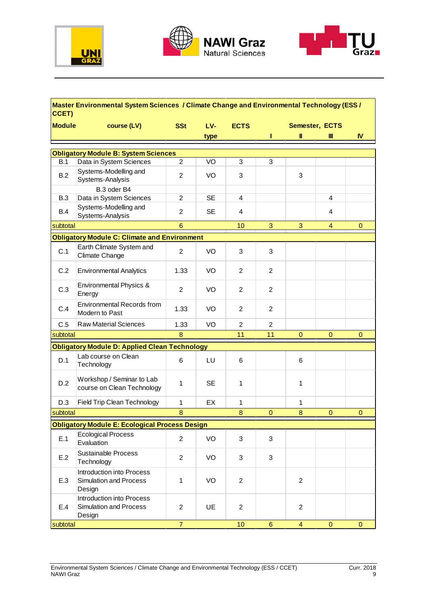





### **Master Environmental System Sciences / Climate Change and Environmental Technology (ESS / CCET)**

| <b>Module</b> | course (LV)                                                            | <b>SSt</b>       | LV-       | <b>ECTS</b>    |                |                | Semester, ECTS |              |
|---------------|------------------------------------------------------------------------|------------------|-----------|----------------|----------------|----------------|----------------|--------------|
|               |                                                                        |                  | type      |                |                | Ш              | Ш              | IV           |
|               |                                                                        |                  |           |                |                |                |                |              |
| B.1           | <b>Obligatory Module B: System Sciences</b><br>Data in System Sciences | $\overline{2}$   | VO        | 3              | 3              |                |                |              |
| B.2           | Systems-Modelling and<br>Systems-Analysis                              | $\overline{2}$   | VO        | 3              |                | 3              |                |              |
|               | B.3 oder B4                                                            |                  |           |                |                |                |                |              |
| <b>B.3</b>    | Data in System Sciences                                                | $\overline{2}$   | <b>SE</b> | 4              |                |                | 4              |              |
| <b>B.4</b>    | Systems-Modelling and<br>Systems-Analysis                              | $\overline{c}$   | <b>SE</b> | 4              |                |                | 4              |              |
| subtotal      |                                                                        | $6\phantom{a}$   |           | 10             | 3              | 3              | $\overline{4}$ | $\mathbf{0}$ |
|               | <b>Obligatory Module C: Climate and Environment</b>                    |                  |           |                |                |                |                |              |
| C.1           | Earth Climate System and<br>Climate Change                             | $\overline{c}$   | VO        | 3              | 3              |                |                |              |
| C.2           | <b>Environmental Analytics</b>                                         | 1.33             | VO        | 2              | $\overline{2}$ |                |                |              |
| C.3           | Environmental Physics &<br>Energy                                      | $\overline{2}$   | VO        | $\overline{2}$ | $\overline{2}$ |                |                |              |
| C.4           | <b>Environmental Records from</b><br>Modern to Past                    | 1.33             | VO        | $\overline{2}$ | $\overline{2}$ |                |                |              |
| C.5           | <b>Raw Material Sciences</b>                                           | 1.33             | VO        | $\overline{2}$ | $\overline{2}$ |                |                |              |
| subtotal      |                                                                        | 8                |           | 11             | 11             | $\mathbf 0$    | $\mathbf 0$    | 0            |
|               | <b>Obligatory Module D: Applied Clean Technology</b>                   |                  |           |                |                |                |                |              |
| D.1           | Lab course on Clean<br>Technology                                      | 6                | LU        | 6              |                | 6              |                |              |
| D.2           | Workshop / Seminar to Lab<br>course on Clean Technology                | 1                | <b>SE</b> | 1              |                | 1              |                |              |
| D.3           | <b>Field Trip Clean Technology</b>                                     | $\mathbf{1}$     | EX        | 1              |                | 1              |                |              |
| subtotal      |                                                                        | 8                |           | 8              | $\mathbf 0$    | 8              | $\mathbf 0$    | $\mathbf 0$  |
|               | <b>Obligatory Module E: Ecological Process Design</b>                  |                  |           |                |                |                |                |              |
| E.1           | <b>Ecological Process</b><br>Evaluation                                | $\boldsymbol{2}$ | VO        | 3              | 3              |                |                |              |
| E.2           | <b>Sustainable Process</b><br>Technology                               | $\overline{2}$   | VO        | 3              | 3              |                |                |              |
| E.3           | <b>Introduction into Process</b><br>Simulation and Process<br>Design   | $\mathbf{1}$     | VO        | $\overline{2}$ |                | $\overline{2}$ |                |              |
| E.4           | Introduction into Process<br><b>Simulation and Process</b><br>Design   | $\overline{2}$   | UE        | $\overline{2}$ |                | $\overline{c}$ |                |              |
| subtotal      |                                                                        | $\overline{7}$   |           | 10             | 6              | 4              | $\mathbf{0}$   | $\mathbf{0}$ |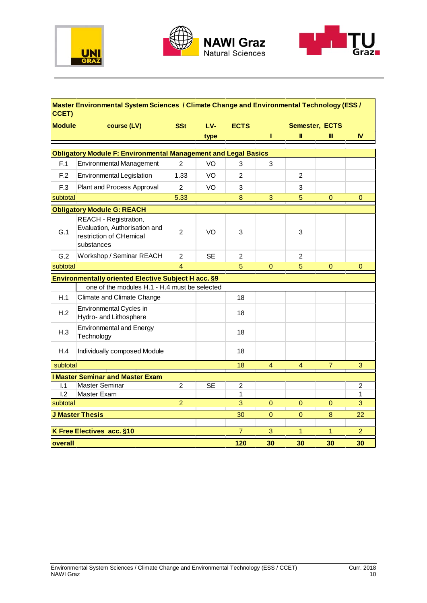





#### **SSt LV- ECTS type I II III IV Module course (LV) SSt LV- ECTS Semester, ECTS Master Environmental System Sciences / Climate Change and Environmental Technology (ESS / CCET)** F.1 Environmental Management | 2 | VO | 3 | 3 F.2 Environmental Legislation | 1.33 | VO | 2 | 2 F.3 Plant and Process Approval | 2 | VO | 3 | 3 5.33 8 3 5 0 0 G.1 **Prestriction of CHemical** 2 VO 3 3 G.2 Workshop / Seminar REACH | 2 | SE | 2 | 2 4 5 0 5 0 0 H.1 Climate and Climate Change | The Climate and Climate Change | The Climate and H.2 Hydro- and Lithosphere 18 H.3 Technology 18 H.4 | Individually composed Module | The Manus | The 18 18 4 4 7 3 I.1 2 SE 2 2 Master Seminar l.2 Master Exam and the set of the set of the set of the set of the set of the set of the set of the set of th 2 3 0 0 0 3 30 0 0 8 22 7 3 1 1 2 **120 30 30 30 30** Environmental Cycles in Environmental and Energy one of the modules H.1 - H.4 must be selected **Obligatory Module F: Environmental Management and Legal Basics** subtotal **Obligatory Module G: REACH** REACH - Registration, Evaluation, Authorisation and substances **overall I Master Seminar and Master Exam** subtotal **J Master Thesis K Free Electives acc. §10** subtotal **Environmentally oriented Elective Subject H acc. §9** subtotal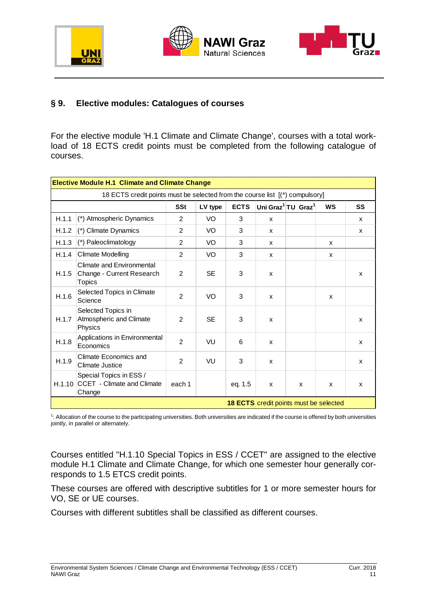





### **§ 9. Elective modules: Catalogues of courses**

For the elective module 'H.1 Climate and Climate Change', courses with a total workload of 18 ECTS credit points must be completed from the following catalogue of courses.

|        | <b>Elective Module H.1 Climate and Climate Change</b>                        |                |           |             |   |                                            |           |    |
|--------|------------------------------------------------------------------------------|----------------|-----------|-------------|---|--------------------------------------------|-----------|----|
|        | 18 ECTS credit points must be selected from the course list [(*) compulsory] |                |           |             |   |                                            |           |    |
|        |                                                                              | <b>SSt</b>     | LV type   | <b>ECTS</b> |   | Uni Graz <sup>1</sup> TU Graz <sup>1</sup> | <b>WS</b> | SS |
| H.1.1  | (*) Atmospheric Dynamics                                                     | 2              | VO        | 3           | X |                                            |           | X  |
| H.1.2  | (*) Climate Dynamics                                                         | 2              | VO.       | 3           | X |                                            |           | X  |
| H.1.3  | (*) Paleoclimatology                                                         | 2              | VO.       | 3           | X |                                            | X         |    |
| H.1.4  | <b>Climate Modelling</b>                                                     | 2              | VO.       | 3           | X |                                            | X         |    |
| H.1.5  | Climate and Environmental<br>Change - Current Research<br>Topics             | $\overline{2}$ | <b>SE</b> | 3           | X |                                            |           | X  |
| H.1.6  | Selected Topics in Climate<br>Science                                        | 2              | VO        | 3           | X |                                            | X         |    |
| H.1.7  | Selected Topics in<br>Atmospheric and Climate<br>Physics                     | 2              | <b>SE</b> | 3           | X |                                            |           | X  |
| H.1.8  | Applications in Environmental<br>Economics                                   | $\overline{2}$ | VU        | 6           | X |                                            |           | X  |
| H.1.9  | <b>Climate Economics and</b><br><b>Climate Justice</b>                       | 2              | VU        | 3           | X |                                            |           | X  |
| H.1.10 | Special Topics in ESS /<br>CCET - Climate and Climate<br>Change              | each 1         |           | eq. 1.5     | X | $\mathsf{x}$                               | X         | X  |
|        | 18 ECTS credit points must be selected                                       |                |           |             |   |                                            |           |    |

1 : Allocation of the course to the participating universities. Both universities are indicated if the course is offered by both universities jointly, in parallel or alternately.

Courses entitled "H.1.10 Special Topics in ESS / CCET" are assigned to the elective module H.1 Climate and Climate Change, for which one semester hour generally corresponds to 1.5 ETCS credit points.

These courses are offered with descriptive subtitles for 1 or more semester hours for VO, SE or UE courses.

Courses with different subtitles shall be classified as different courses.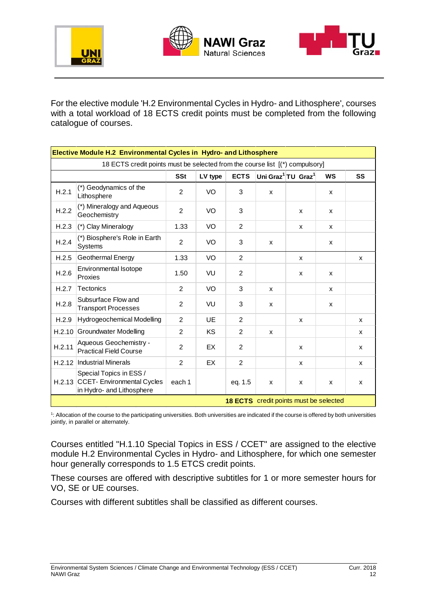





For the elective module 'H.2 Environmental Cycles in Hydro- and Lithosphere', courses with a total workload of 18 ECTS credit points must be completed from the following catalogue of courses.

|        | <b>Elective Module H.2 Environmental Cycles in Hydro- and Lithosphere</b>                 |                |           |                |   |                                            |           |              |
|--------|-------------------------------------------------------------------------------------------|----------------|-----------|----------------|---|--------------------------------------------|-----------|--------------|
|        | 18 ECTS credit points must be selected from the course list [(*) compulsory]              |                |           |                |   |                                            |           |              |
|        |                                                                                           | <b>SSt</b>     | LV type   | <b>ECTS</b>    |   | Uni Graz <sup>1</sup> TU Graz <sup>1</sup> | <b>WS</b> | SS           |
| H.2.1  | (*) Geodynamics of the<br>Lithosphere                                                     | 2              | VO        | 3              | x |                                            | X         |              |
| H.2.2  | (*) Mineralogy and Aqueous<br>Geochemistry                                                | $\overline{2}$ | VO.       | 3              |   | X                                          | X         |              |
| H.2.3  | (*) Clay Mineralogy                                                                       | 1.33           | VO        | $\overline{2}$ |   | X                                          | X         |              |
| H.2.4  | (*) Biosphere's Role in Earth<br>Systems                                                  | $\overline{2}$ | VO        | 3              | X |                                            | X         |              |
| H.2.5  | Geothermal Energy                                                                         | 1.33           | VO        | $\overline{2}$ |   | X                                          |           | X            |
| H.2.6  | Environmental Isotope<br>Proxies                                                          | 1.50           | VU        | $\overline{2}$ |   | X                                          | X         |              |
| H.2.7  | <b>Tectonics</b>                                                                          | $\overline{2}$ | VO        | 3              | X |                                            | X         |              |
| H.2.8  | Subsurface Flow and<br><b>Transport Processes</b>                                         | 2              | VU        | 3              | X |                                            | X         |              |
| H.2.9  | Hydrogeochemical Modelling                                                                | $\overline{2}$ | UE        | $\overline{2}$ |   | X                                          |           | X            |
| H.2.10 | <b>Groundwater Modelling</b>                                                              | 2              | <b>KS</b> | $\overline{2}$ | X |                                            |           | $\mathsf{x}$ |
| H.2.11 | Aqueous Geochemistry -<br><b>Practical Field Course</b>                                   | $\overline{2}$ | EX        | $\overline{2}$ |   | X                                          |           | X            |
| H.2.12 | <b>Industrial Minerals</b>                                                                | 2              | EX        | $\overline{2}$ |   | X                                          |           | X            |
|        | Special Topics in ESS /<br>H.2.13 CCET- Environmental Cycles<br>in Hydro- and Lithosphere | each 1         |           | eq. 1.5        | X | X                                          | X         | X            |
|        |                                                                                           |                |           |                |   | 18 ECTS credit points must be selected     |           |              |

1 : Allocation of the course to the participating universities. Both universities are indicated if the course is offered by both universities jointly, in parallel or alternately.

Courses entitled "H.1.10 Special Topics in ESS / CCET" are assigned to the elective module H.2 Environmental Cycles in Hydro- and Lithosphere, for which one semester hour generally corresponds to 1.5 ETCS credit points.

These courses are offered with descriptive subtitles for 1 or more semester hours for VO, SE or UE courses.

Courses with different subtitles shall be classified as different courses.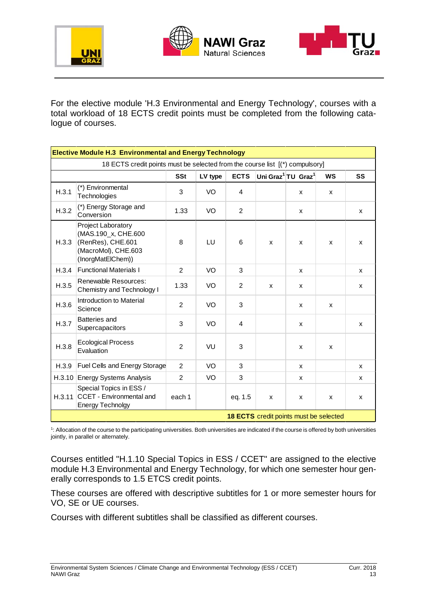





For the elective module 'H.3 Environmental and Energy Technology', courses with a total workload of 18 ECTS credit points must be completed from the following catalogue of courses.

|       | <b>Elective Module H.3 Environmental and Energy Technology</b>                                             |                |         |                |                                        |                                            |                    |    |
|-------|------------------------------------------------------------------------------------------------------------|----------------|---------|----------------|----------------------------------------|--------------------------------------------|--------------------|----|
|       | 18 ECTS credit points must be selected from the course list [(*) compulsory]                               |                |         |                |                                        |                                            |                    |    |
|       |                                                                                                            | <b>SSt</b>     | LV type | <b>ECTS</b>    |                                        | Uni Graz <sup>1</sup> TU Graz <sup>1</sup> | <b>WS</b>          | SS |
| H.3.1 | (*) Environmental<br>Technologies                                                                          | 3              | VO      | 4              |                                        | x                                          | X                  |    |
| H.3.2 | (*) Energy Storage and<br>Conversion                                                                       | 1.33           | VO      | $\overline{2}$ |                                        | X                                          |                    | X  |
| H.3.3 | Project Laboratory<br>(MAS.190_x, CHE.600<br>(RenRes), CHE.601<br>(MacroMol), CHE.603<br>(InorgMatElChem)) | 8              | LU      | 6              | X                                      | X                                          | X                  | X  |
| H.3.4 | <b>Functional Materials I</b>                                                                              | 2              | VO      | 3              |                                        | X                                          |                    | X  |
| H.3.5 | Renewable Resources:<br>Chemistry and Technology I                                                         | 1.33           | VO      | 2              | X                                      | $\pmb{\times}$                             |                    | X  |
| H.3.6 | Introduction to Material<br>Science                                                                        | $\overline{2}$ | VO      | 3              |                                        | X                                          | $\mathsf{x}$       |    |
| H.3.7 | Batteries and<br>Supercapacitors                                                                           | 3              | VO      | 4              |                                        | X                                          |                    | X  |
| H.3.8 | <b>Ecological Process</b><br>Evaluation                                                                    | 2              | VU      | 3              |                                        | $\pmb{\times}$                             | $\pmb{\mathsf{x}}$ |    |
| H.3.9 | Fuel Cells and Energy Storage                                                                              | 2              | VO      | 3              |                                        | x                                          |                    | X  |
|       | H.3.10 Energy Systems Analysis                                                                             | 2              | VO      | 3              |                                        | X                                          |                    | X  |
|       | Special Topics in ESS /<br>H.3.11 CCET - Environmental and<br><b>Energy Technolgy</b>                      | each 1         |         | eq. 1.5        | X                                      | X                                          | X                  | X  |
|       |                                                                                                            |                |         |                | 18 ECTS credit points must be selected |                                            |                    |    |

1 : Allocation of the course to the participating universities. Both universities are indicated if the course is offered by both universities jointly, in parallel or alternately.

Courses entitled "H.1.10 Special Topics in ESS / CCET" are assigned to the elective module H.3 Environmental and Energy Technology, for which one semester hour generally corresponds to 1.5 ETCS credit points.

These courses are offered with descriptive subtitles for 1 or more semester hours for VO, SE or UE courses.

Courses with different subtitles shall be classified as different courses.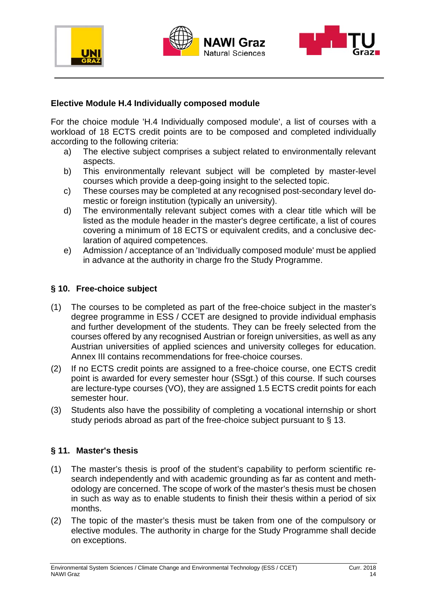





#### **Elective Module H.4 Individually composed module**

For the choice module 'H.4 Individually composed module', a list of courses with a workload of 18 ECTS credit points are to be composed and completed individually according to the following criteria:

- a) The elective subject comprises a subject related to environmentally relevant aspects.
- b) This environmentally relevant subject will be completed by master-level courses which provide a deep-going insight to the selected topic.
- c) These courses may be completed at any recognised post-secondary level domestic or foreign institution (typically an university).
- d) The environmentally relevant subject comes with a clear title which will be listed as the module header in the master's degree certificate, a list of coures covering a minimum of 18 ECTS or equivalent credits, and a conclusive declaration of aquired competences.
- e) Admission / acceptance of an 'Individually composed module' must be applied in advance at the authority in charge fro the Study Programme.

#### **§ 10. Free-choice subject**

- (1) The courses to be completed as part of the free-choice subject in the master's degree programme in ESS / CCET are designed to provide individual emphasis and further development of the students. They can be freely selected from the courses offered by any recognised Austrian or foreign universities, as well as any Austrian universities of applied sciences and university colleges for education. Annex III contains recommendations for free-choice courses.
- (2) If no ECTS credit points are assigned to a free-choice course, one ECTS credit point is awarded for every semester hour (SSgt.) of this course. If such courses are lecture-type courses (VO), they are assigned 1.5 ECTS credit points for each semester hour.
- (3) Students also have the possibility of completing a vocational internship or short study periods abroad as part of the free-choice subject pursuant to § 13.

#### **§ 11. Master's thesis**

- (1) The master's thesis is proof of the student's capability to perform scientific research independently and with academic grounding as far as content and methodology are concerned. The scope of work of the master's thesis must be chosen in such as way as to enable students to finish their thesis within a period of six months.
- (2) The topic of the master's thesis must be taken from one of the compulsory or elective modules. The authority in charge for the Study Programme shall decide on exceptions.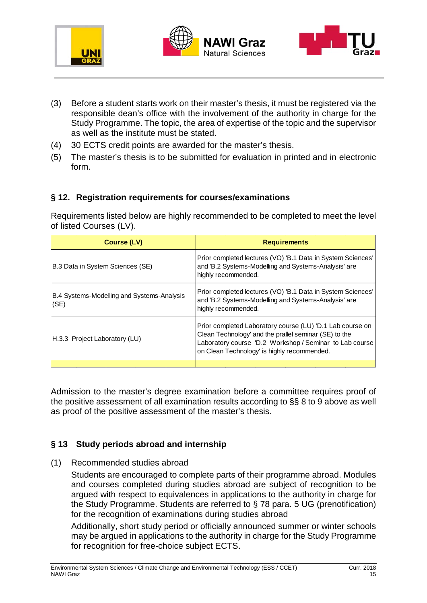





- (3) Before a student starts work on their master's thesis, it must be registered via the responsible dean's office with the involvement of the authority in charge for the Study Programme. The topic, the area of expertise of the topic and the supervisor as well as the institute must be stated.
- (4) 30 ECTS credit points are awarded for the master's thesis.
- (5) The master's thesis is to be submitted for evaluation in printed and in electronic form.

#### **§ 12. Registration requirements for courses/examinations**

Requirements listed below are highly recommended to be completed to meet the level of listed Courses (LV).

| Course (LV)                                        | <b>Requirements</b>                                                                                                                                                                                                          |
|----------------------------------------------------|------------------------------------------------------------------------------------------------------------------------------------------------------------------------------------------------------------------------------|
| B.3 Data in System Sciences (SE)                   | Prior completed lectures (VO) 'B.1 Data in System Sciences'<br>and 'B.2 Systems-Modelling and Systems-Analysis' are<br>highly recommended.                                                                                   |
| B.4 Systems-Modelling and Systems-Analysis<br>(SE) | Prior completed lectures (VO) 'B.1 Data in System Sciences'<br>and 'B.2 Systems-Modelling and Systems-Analysis' are<br>highly recommended.                                                                                   |
| H.3.3 Project Laboratory (LU)                      | Prior completed Laboratory course (LU) 'D.1 Lab course on<br>Clean Technology' and the prallel seminar (SE) to the<br>Laboratory course 'D.2 Workshop / Seminar to Lab course<br>on Clean Technology' is highly recommended. |
|                                                    |                                                                                                                                                                                                                              |

Admission to the master's degree examination before a committee requires proof of the positive assessment of all examination results according to §§ 8 to 9 above as well as proof of the positive assessment of the master's thesis.

### **§ 13 Study periods abroad and internship**

(1) Recommended studies abroad

Students are encouraged to complete parts of their programme abroad. Modules and courses completed during studies abroad are subject of recognition to be argued with respect to equivalences in applications to the authority in charge for the Study Programme. Students are referred to § 78 para. 5 UG (prenotification) for the recognition of examinations during studies abroad

Additionally, short study period or officially announced summer or winter schools may be argued in applications to the authority in charge for the Study Programme for recognition for free-choice subject ECTS.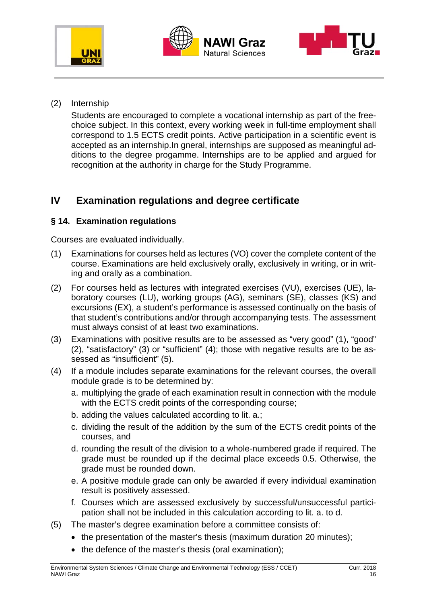





(2) Internship

Students are encouraged to complete a vocational internship as part of the freechoice subject. In this context, every working week in full-time employment shall correspond to 1.5 ECTS credit points. Active participation in a scientific event is accepted as an internship.In gneral, internships are supposed as meaningful additions to the degree progamme. Internships are to be applied and argued for recognition at the authority in charge for the Study Programme.

## **IV Examination regulations and degree certificate**

### **§ 14. Examination regulations**

Courses are evaluated individually.

- (1) Examinations for courses held as lectures (VO) cover the complete content of the course. Examinations are held exclusively orally, exclusively in writing, or in writing and orally as a combination.
- (2) For courses held as lectures with integrated exercises (VU), exercises (UE), laboratory courses (LU), working groups (AG), seminars (SE), classes (KS) and excursions (EX), a student's performance is assessed continually on the basis of that student's contributions and/or through accompanying tests. The assessment must always consist of at least two examinations.
- (3) Examinations with positive results are to be assessed as "very good" (1), "good" (2), "satisfactory" (3) or "sufficient" (4); those with negative results are to be assessed as "insufficient" (5).
- (4) If a module includes separate examinations for the relevant courses, the overall module grade is to be determined by:
	- a. multiplying the grade of each examination result in connection with the module with the ECTS credit points of the corresponding course;
	- b. adding the values calculated according to lit. a.;
	- c. dividing the result of the addition by the sum of the ECTS credit points of the courses, and
	- d. rounding the result of the division to a whole-numbered grade if required. The grade must be rounded up if the decimal place exceeds 0.5. Otherwise, the grade must be rounded down.
	- e. A positive module grade can only be awarded if every individual examination result is positively assessed.
	- f. Courses which are assessed exclusively by successful/unsuccessful participation shall not be included in this calculation according to lit. a. to d.
- (5) The master's degree examination before a committee consists of:
	- the presentation of the master's thesis (maximum duration 20 minutes);
	- the defence of the master's thesis (oral examination);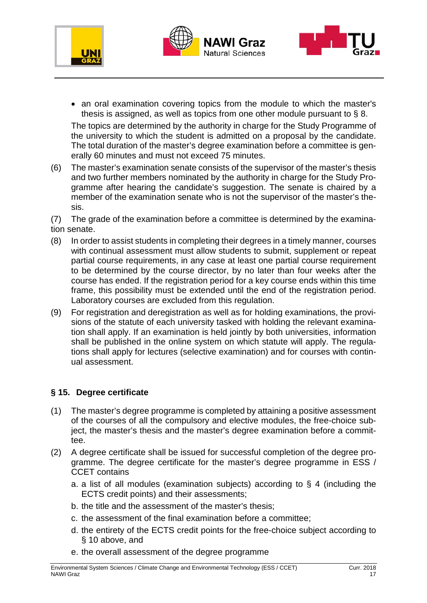





• an oral examination covering topics from the module to which the master's thesis is assigned, as well as topics from one other module pursuant to § 8. The topics are determined by the authority in charge for the Study Programme of

the university to which the student is admitted on a proposal by the candidate. The total duration of the master's degree examination before a committee is generally 60 minutes and must not exceed 75 minutes.

(6) The master's examination senate consists of the supervisor of the master's thesis and two further members nominated by the authority in charge for the Study Programme after hearing the candidate's suggestion. The senate is chaired by a member of the examination senate who is not the supervisor of the master's thesis.

(7) The grade of the examination before a committee is determined by the examination senate.

- (8) In order to assist students in completing their degrees in a timely manner, courses with continual assessment must allow students to submit, supplement or repeat partial course requirements, in any case at least one partial course requirement to be determined by the course director, by no later than four weeks after the course has ended. If the registration period for a key course ends within this time frame, this possibility must be extended until the end of the registration period. Laboratory courses are excluded from this regulation.
- (9) For registration and deregistration as well as for holding examinations, the provisions of the statute of each university tasked with holding the relevant examination shall apply. If an examination is held jointly by both universities, information shall be published in the online system on which statute will apply. The regulations shall apply for lectures (selective examination) and for courses with continual assessment.

### **§ 15. Degree certificate**

- (1) The master's degree programme is completed by attaining a positive assessment of the courses of all the compulsory and elective modules, the free-choice subject, the master's thesis and the master's degree examination before a committee.
- (2) A degree certificate shall be issued for successful completion of the degree programme. The degree certificate for the master's degree programme in ESS / CCET contains
	- a. a list of all modules (examination subjects) according to § 4 (including the ECTS credit points) and their assessments;
	- b. the title and the assessment of the master's thesis;
	- c. the assessment of the final examination before a committee;
	- d. the entirety of the ECTS credit points for the free-choice subject according to § 10 above, and
	- e. the overall assessment of the degree programme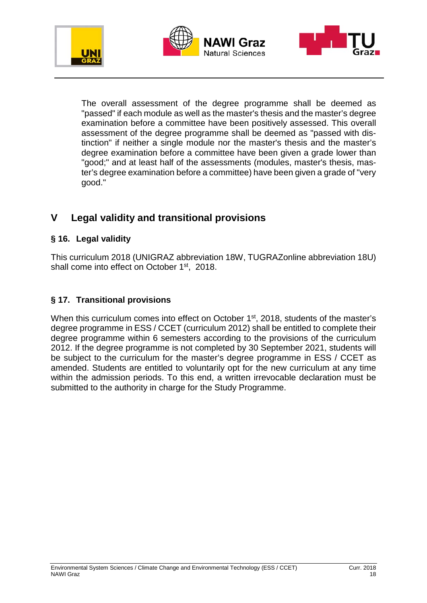





The overall assessment of the degree programme shall be deemed as "passed" if each module as well as the master's thesis and the master's degree examination before a committee have been positively assessed. This overall assessment of the degree programme shall be deemed as "passed with distinction" if neither a single module nor the master's thesis and the master's degree examination before a committee have been given a grade lower than "good;" and at least half of the assessments (modules, master's thesis, master's degree examination before a committee) have been given a grade of "very good."

### **V Legal validity and transitional provisions**

### **§ 16. Legal validity**

This curriculum 2018 (UNIGRAZ abbreviation 18W, TUGRAZonline abbreviation 18U) shall come into effect on October 1<sup>st</sup>, 2018.

### **§ 17. Transitional provisions**

When this curriculum comes into effect on October 1<sup>st</sup>, 2018, students of the master's degree programme in ESS / CCET (curriculum 2012) shall be entitled to complete their degree programme within 6 semesters according to the provisions of the curriculum 2012. If the degree programme is not completed by 30 September 2021, students will be subject to the curriculum for the master's degree programme in ESS / CCET as amended. Students are entitled to voluntarily opt for the new curriculum at any time within the admission periods. To this end, a written irrevocable declaration must be submitted to the authority in charge for the Study Programme.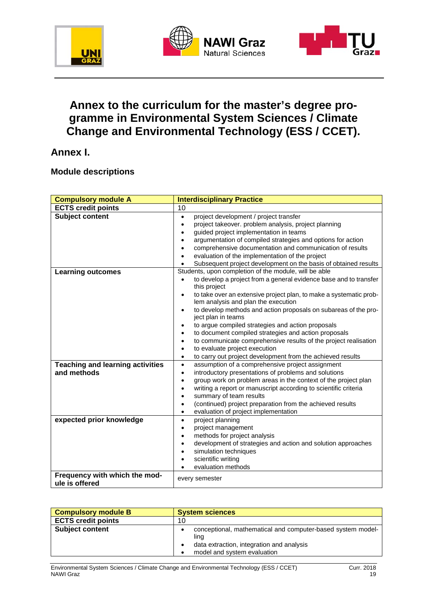





## **Annex to the curriculum for the master's degree programme in Environmental System Sciences / Climate Change and Environmental Technology (ESS / CCET).**

### **Annex I.**

#### **Module descriptions**

| <b>Compulsory module A</b>              | <b>Interdisciplinary Practice</b>                                                                                      |
|-----------------------------------------|------------------------------------------------------------------------------------------------------------------------|
| <b>ECTS credit points</b>               | 10                                                                                                                     |
| <b>Subject content</b>                  | project development / project transfer<br>$\bullet$                                                                    |
|                                         | project takeover. problem analysis, project planning<br>$\bullet$                                                      |
|                                         | guided project implementation in teams                                                                                 |
|                                         | argumentation of compiled strategies and options for action<br>$\bullet$                                               |
|                                         | comprehensive documentation and communication of results<br>$\bullet$                                                  |
|                                         | evaluation of the implementation of the project<br>$\bullet$                                                           |
|                                         | Subsequent project development on the basis of obtained results                                                        |
| <b>Learning outcomes</b>                | Students, upon completion of the module, will be able                                                                  |
|                                         | to develop a project from a general evidence base and to transfer<br>$\bullet$                                         |
|                                         | this project                                                                                                           |
|                                         | to take over an extensive project plan, to make a systematic prob-<br>$\bullet$<br>lem analysis and plan the execution |
|                                         | to develop methods and action proposals on subareas of the pro-<br>$\bullet$                                           |
|                                         | ject plan in teams                                                                                                     |
|                                         | to argue compiled strategies and action proposals<br>$\bullet$                                                         |
|                                         | to document compiled strategies and action proposals                                                                   |
|                                         | to communicate comprehensive results of the project realisation                                                        |
|                                         | to evaluate project execution                                                                                          |
|                                         | to carry out project development from the achieved results<br>$\bullet$                                                |
| <b>Teaching and learning activities</b> | assumption of a comprehensive project assignment<br>$\bullet$                                                          |
| and methods                             | introductory presentations of problems and solutions<br>$\bullet$                                                      |
|                                         | group work on problem areas in the context of the project plan                                                         |
|                                         | writing a report or manuscript according to scientific criteria                                                        |
|                                         | summary of team results                                                                                                |
|                                         | (continued) project preparation from the achieved results                                                              |
|                                         | evaluation of project implementation<br>$\bullet$                                                                      |
| expected prior knowledge                | project planning<br>$\bullet$                                                                                          |
|                                         | project management<br>$\bullet$                                                                                        |
|                                         | methods for project analysis<br>$\bullet$                                                                              |
|                                         | development of strategies and action and solution approaches<br>$\bullet$                                              |
|                                         | simulation techniques                                                                                                  |
|                                         | scientific writing<br>evaluation methods                                                                               |
| Frequency with which the mod-           |                                                                                                                        |
| ule is offered                          | every semester                                                                                                         |
|                                         |                                                                                                                        |

| <b>Compulsory module B</b> | <b>System sciences</b>                                                                                                                          |
|----------------------------|-------------------------------------------------------------------------------------------------------------------------------------------------|
| <b>ECTS credit points</b>  | 10                                                                                                                                              |
| <b>Subject content</b>     | conceptional, mathematical and computer-based system model-<br>ling<br>data extraction, integration and analysis<br>model and system evaluation |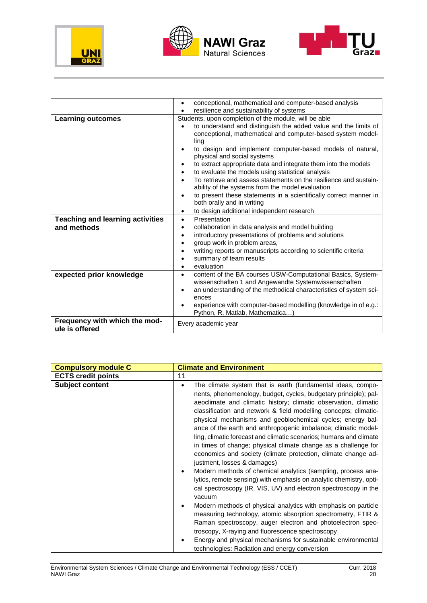





|                                                        | conceptional, mathematical and computer-based analysis<br>$\bullet$                                                                                                                                                                                                                                                                                                                                                                                                                                                                                                                  |
|--------------------------------------------------------|--------------------------------------------------------------------------------------------------------------------------------------------------------------------------------------------------------------------------------------------------------------------------------------------------------------------------------------------------------------------------------------------------------------------------------------------------------------------------------------------------------------------------------------------------------------------------------------|
|                                                        | resilience and sustainability of systems                                                                                                                                                                                                                                                                                                                                                                                                                                                                                                                                             |
| <b>Learning outcomes</b>                               | Students, upon completion of the module, will be able                                                                                                                                                                                                                                                                                                                                                                                                                                                                                                                                |
|                                                        | to understand and distinguish the added value and the limits of<br>conceptional, mathematical and computer-based system model-<br>ling<br>to design and implement computer-based models of natural,<br>physical and social systems<br>to extract appropriate data and integrate them into the models<br>to evaluate the models using statistical analysis<br>To retrieve and assess statements on the resilience and sustain-<br>ability of the systems from the model evaluation<br>to present these statements in a scientifically correct manner in<br>both orally and in writing |
|                                                        | to design additional independent research<br>$\bullet$                                                                                                                                                                                                                                                                                                                                                                                                                                                                                                                               |
| <b>Teaching and learning activities</b><br>and methods | Presentation<br>$\bullet$<br>collaboration in data analysis and model building<br>٠<br>introductory presentations of problems and solutions<br>٠<br>group work in problem areas,<br>writing reports or manuscripts according to scientific criteria<br>summary of team results<br>evaluation                                                                                                                                                                                                                                                                                         |
| expected prior knowledge                               | content of the BA courses USW-Computational Basics, System-<br>$\bullet$<br>wissenschaften 1 and Angewandte Systemwissenschaften<br>an understanding of the methodical characteristics of system sci-<br>ences<br>experience with computer-based modelling (knowledge in of e.g.:<br>Python, R, Matlab, Mathematica)                                                                                                                                                                                                                                                                 |
| Frequency with which the mod-<br>ule is offered        | Every academic year                                                                                                                                                                                                                                                                                                                                                                                                                                                                                                                                                                  |

| <b>Compulsory module C</b> | <b>Climate and Environment</b>                                                                                                                                                                                                                                                                                                                                                                                                                                                                                                                                                                                                                                                                                                                                                                                                                                                                                                                                                                                                                                                                                                                                                                                                              |
|----------------------------|---------------------------------------------------------------------------------------------------------------------------------------------------------------------------------------------------------------------------------------------------------------------------------------------------------------------------------------------------------------------------------------------------------------------------------------------------------------------------------------------------------------------------------------------------------------------------------------------------------------------------------------------------------------------------------------------------------------------------------------------------------------------------------------------------------------------------------------------------------------------------------------------------------------------------------------------------------------------------------------------------------------------------------------------------------------------------------------------------------------------------------------------------------------------------------------------------------------------------------------------|
| <b>ECTS credit points</b>  | 11                                                                                                                                                                                                                                                                                                                                                                                                                                                                                                                                                                                                                                                                                                                                                                                                                                                                                                                                                                                                                                                                                                                                                                                                                                          |
| <b>Subject content</b>     | The climate system that is earth (fundamental ideas, compo-<br>٠<br>nents, phenomenology, budget, cycles, budgetary principle); pal-<br>aeoclimate and climatic history; climatic observation, climatic<br>classification and network & field modelling concepts; climatic-<br>physical mechanisms and geobiochemical cycles; energy bal-<br>ance of the earth and anthropogenic imbalance; climatic model-<br>ling, climatic forecast and climatic scenarios; humans and climate<br>in times of change; physical climate change as a challenge for<br>economics and society (climate protection, climate change ad-<br>justment, losses & damages)<br>Modern methods of chemical analytics (sampling, process ana-<br>lytics, remote sensing) with emphasis on analytic chemistry, opti-<br>cal spectroscopy (IR, VIS, UV) and electron spectroscopy in the<br>vacuum<br>Modern methods of physical analytics with emphasis on particle<br>measuring technology, atomic absorption spectrometry, FTIR &<br>Raman spectroscopy, auger electron and photoelectron spec-<br>troscopy, X-raying and fluorescence spectroscopy<br>Energy and physical mechanisms for sustainable environmental<br>technologies: Radiation and energy conversion |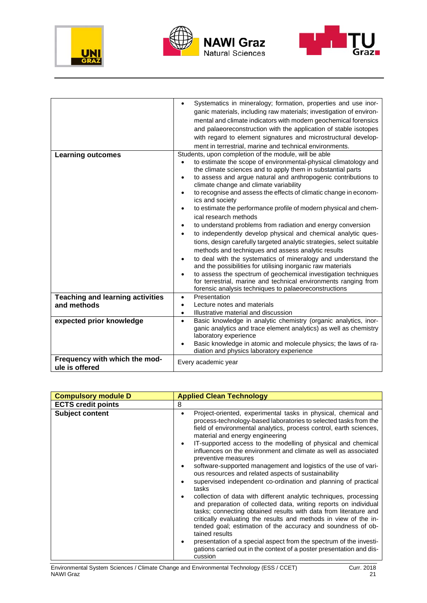





|                                         | Systematics in mineralogy; formation, properties and use inor-                                                               |
|-----------------------------------------|------------------------------------------------------------------------------------------------------------------------------|
|                                         |                                                                                                                              |
|                                         | ganic materials, including raw materials; investigation of environ-                                                          |
|                                         | mental and climate indicators with modern geochemical forensics                                                              |
|                                         | and palaeoreconstruction with the application of stable isotopes                                                             |
|                                         | with regard to element signatures and microstructural develop-                                                               |
|                                         | ment in terrestrial, marine and technical environments.                                                                      |
| <b>Learning outcomes</b>                | Students, upon completion of the module, will be able                                                                        |
|                                         | to estimate the scope of environmental-physical climatology and<br>$\bullet$                                                 |
|                                         | the climate sciences and to apply them in substantial parts                                                                  |
|                                         | to assess and argue natural and anthropogenic contributions to<br>$\bullet$                                                  |
|                                         | climate change and climate variability                                                                                       |
|                                         | to recognise and assess the effects of climatic change in econom-<br>٠                                                       |
|                                         | ics and society                                                                                                              |
|                                         | to estimate the performance profile of modern physical and chem-<br>٠                                                        |
|                                         | ical research methods                                                                                                        |
|                                         | to understand problems from radiation and energy conversion<br>٠                                                             |
|                                         | to independently develop physical and chemical analytic ques-                                                                |
|                                         | tions, design carefully targeted analytic strategies, select suitable                                                        |
|                                         | methods and techniques and assess analytic results                                                                           |
|                                         |                                                                                                                              |
|                                         | to deal with the systematics of mineralogy and understand the<br>and the possibilities for utilising inorganic raw materials |
|                                         | to assess the spectrum of geochemical investigation techniques                                                               |
|                                         | for terrestrial, marine and technical environments ranging from                                                              |
|                                         | forensic analysis techniques to palaeoreconstructions                                                                        |
| <b>Teaching and learning activities</b> | Presentation<br>$\bullet$                                                                                                    |
| and methods                             | Lecture notes and materials<br>$\bullet$                                                                                     |
|                                         | Illustrative material and discussion<br>$\bullet$                                                                            |
| expected prior knowledge                | Basic knowledge in analytic chemistry (organic analytics, inor-<br>$\bullet$                                                 |
|                                         | ganic analytics and trace element analytics) as well as chemistry                                                            |
|                                         | laboratory experience                                                                                                        |
|                                         | Basic knowledge in atomic and molecule physics; the laws of ra-                                                              |
|                                         | diation and physics laboratory experience                                                                                    |
| Frequency with which the mod-           |                                                                                                                              |
| ule is offered                          | Every academic year                                                                                                          |
|                                         |                                                                                                                              |

| <b>Applied Clean Technology</b>                                                                                                                                                                                                                                                                                                                                                                                                                                                                                                                                                                                                                                                                                                                                                                                                                                                                                                                                                                                                                                                                                                         |
|-----------------------------------------------------------------------------------------------------------------------------------------------------------------------------------------------------------------------------------------------------------------------------------------------------------------------------------------------------------------------------------------------------------------------------------------------------------------------------------------------------------------------------------------------------------------------------------------------------------------------------------------------------------------------------------------------------------------------------------------------------------------------------------------------------------------------------------------------------------------------------------------------------------------------------------------------------------------------------------------------------------------------------------------------------------------------------------------------------------------------------------------|
| 8                                                                                                                                                                                                                                                                                                                                                                                                                                                                                                                                                                                                                                                                                                                                                                                                                                                                                                                                                                                                                                                                                                                                       |
| Project-oriented, experimental tasks in physical, chemical and<br>process-technology-based laboratories to selected tasks from the<br>field of environmental analytics, process control, earth sciences,<br>material and energy engineering<br>IT-supported access to the modelling of physical and chemical<br>influences on the environment and climate as well as associated<br>preventive measures<br>software-supported management and logistics of the use of vari-<br>ous resources and related aspects of sustainability<br>supervised independent co-ordination and planning of practical<br>tasks<br>collection of data with different analytic techniques, processing<br>and preparation of collected data, writing reports on individual<br>tasks; connecting obtained results with data from literature and<br>critically evaluating the results and methods in view of the in-<br>tended goal; estimation of the accuracy and soundness of ob-<br>tained results<br>presentation of a special aspect from the spectrum of the investi-<br>gations carried out in the context of a poster presentation and dis-<br>cussion |
|                                                                                                                                                                                                                                                                                                                                                                                                                                                                                                                                                                                                                                                                                                                                                                                                                                                                                                                                                                                                                                                                                                                                         |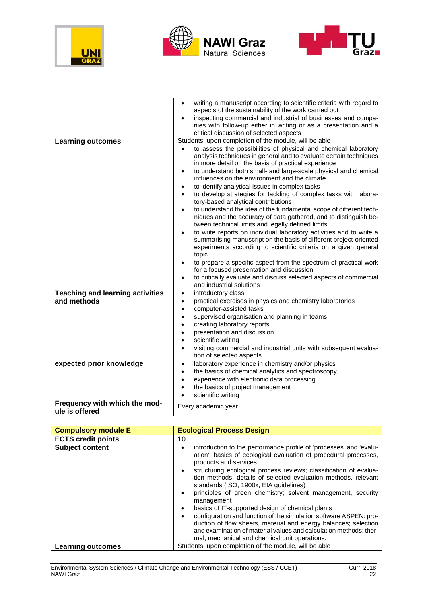





|                                                        | writing a manuscript according to scientific criteria with regard to<br>$\bullet$<br>aspects of the sustainability of the work carried out<br>inspecting commercial and industrial of businesses and compa-<br>$\bullet$                                                                                                                                                                                                                                                                                                                                                                                                                                                                                                                                                                                                                                                                                                                                                                                                                                                                                                       |
|--------------------------------------------------------|--------------------------------------------------------------------------------------------------------------------------------------------------------------------------------------------------------------------------------------------------------------------------------------------------------------------------------------------------------------------------------------------------------------------------------------------------------------------------------------------------------------------------------------------------------------------------------------------------------------------------------------------------------------------------------------------------------------------------------------------------------------------------------------------------------------------------------------------------------------------------------------------------------------------------------------------------------------------------------------------------------------------------------------------------------------------------------------------------------------------------------|
|                                                        | nies with follow-up either in writing or as a presentation and a<br>critical discussion of selected aspects                                                                                                                                                                                                                                                                                                                                                                                                                                                                                                                                                                                                                                                                                                                                                                                                                                                                                                                                                                                                                    |
| <b>Learning outcomes</b>                               | Students, upon completion of the module, will be able<br>to assess the possibilities of physical and chemical laboratory<br>$\bullet$<br>analysis techniques in general and to evaluate certain techniques<br>in more detail on the basis of practical experience<br>to understand both small- and large-scale physical and chemical<br>$\bullet$<br>influences on the environment and the climate<br>to identify analytical issues in complex tasks<br>٠<br>to develop strategies for tackling of complex tasks with labora-<br>$\bullet$<br>tory-based analytical contributions<br>to understand the idea of the fundamental scope of different tech-<br>niques and the accuracy of data gathered, and to distinguish be-<br>tween technical limits and legally defined limits<br>to write reports on individual laboratory activities and to write a<br>summarising manuscript on the basis of different project-oriented<br>experiments according to scientific criteria on a given general<br>topic<br>to prepare a specific aspect from the spectrum of practical work<br>٠<br>for a focused presentation and discussion |
|                                                        | to critically evaluate and discuss selected aspects of commercial<br>and industrial solutions                                                                                                                                                                                                                                                                                                                                                                                                                                                                                                                                                                                                                                                                                                                                                                                                                                                                                                                                                                                                                                  |
| <b>Teaching and learning activities</b><br>and methods | introductory class<br>$\bullet$<br>practical exercises in physics and chemistry laboratories<br>$\bullet$<br>computer-assisted tasks<br>$\bullet$<br>supervised organisation and planning in teams<br>$\bullet$<br>creating laboratory reports<br>presentation and discussion<br>scientific writing<br>visiting commercial and industrial units with subsequent evalua-<br>$\bullet$<br>tion of selected aspects                                                                                                                                                                                                                                                                                                                                                                                                                                                                                                                                                                                                                                                                                                               |
| expected prior knowledge                               | laboratory experience in chemistry and/or physics<br>$\bullet$<br>the basics of chemical analytics and spectroscopy<br>$\bullet$<br>experience with electronic data processing<br>$\bullet$<br>the basics of project management<br>scientific writing                                                                                                                                                                                                                                                                                                                                                                                                                                                                                                                                                                                                                                                                                                                                                                                                                                                                          |
| Frequency with which the mod-<br>ule is offered        | Every academic year                                                                                                                                                                                                                                                                                                                                                                                                                                                                                                                                                                                                                                                                                                                                                                                                                                                                                                                                                                                                                                                                                                            |

| <b>Compulsory module E</b> | <b>Ecological Process Design</b>                                                                                                                                                                                                                                                                                                                                                                                                                                                                                                                                                                                                                                                                                                                |
|----------------------------|-------------------------------------------------------------------------------------------------------------------------------------------------------------------------------------------------------------------------------------------------------------------------------------------------------------------------------------------------------------------------------------------------------------------------------------------------------------------------------------------------------------------------------------------------------------------------------------------------------------------------------------------------------------------------------------------------------------------------------------------------|
| <b>ECTS credit points</b>  | 10                                                                                                                                                                                                                                                                                                                                                                                                                                                                                                                                                                                                                                                                                                                                              |
| <b>Subject content</b>     | introduction to the performance profile of 'processes' and 'evalu-<br>ation'; basics of ecological evaluation of procedural processes,<br>products and services<br>structuring ecological process reviews; classification of evalua-<br>tion methods; details of selected evaluation methods, relevant<br>standards (ISO, 1900x, EIA quidelines)<br>principles of green chemistry; solvent management, security<br>management<br>basics of IT-supported design of chemical plants<br>configuration and function of the simulation software ASPEN: pro-<br>duction of flow sheets, material and energy balances; selection<br>and examination of material values and calculation methods; ther-<br>mal, mechanical and chemical unit operations. |
| Learning outcomes          | Students, upon completion of the module, will be able                                                                                                                                                                                                                                                                                                                                                                                                                                                                                                                                                                                                                                                                                           |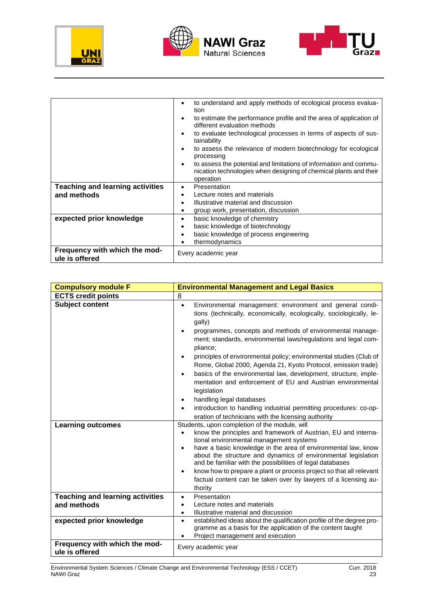





|                                                 | to understand and apply methods of ecological process evalua-<br>tion                                                                               |
|-------------------------------------------------|-----------------------------------------------------------------------------------------------------------------------------------------------------|
|                                                 | to estimate the performance profile and the area of application of<br>different evaluation methods                                                  |
|                                                 | to evaluate technological processes in terms of aspects of sus-<br>tainability                                                                      |
|                                                 | to assess the relevance of modern biotechnology for ecological<br>processing                                                                        |
|                                                 | to assess the potential and limitations of information and commu-<br>nication technologies when designing of chemical plants and their<br>operation |
| <b>Teaching and learning activities</b>         | Presentation<br>٠                                                                                                                                   |
| and methods                                     | Lecture notes and materials<br>٠                                                                                                                    |
|                                                 | Illustrative material and discussion<br>٠                                                                                                           |
|                                                 | group work, presentation, discussion                                                                                                                |
| expected prior knowledge                        | basic knowledge of chemistry<br>٠                                                                                                                   |
|                                                 | basic knowledge of biotechnology<br>٠                                                                                                               |
|                                                 | basic knowledge of process engineering                                                                                                              |
|                                                 | thermodynamics                                                                                                                                      |
| Frequency with which the mod-<br>ule is offered | Every academic year                                                                                                                                 |

| <b>Compulsory module F</b>                             | <b>Environmental Management and Legal Basics</b>                                                                                                                                                                                                                                                                                                                                                                                                                                                                                                                                                                                                                                                                                                 |
|--------------------------------------------------------|--------------------------------------------------------------------------------------------------------------------------------------------------------------------------------------------------------------------------------------------------------------------------------------------------------------------------------------------------------------------------------------------------------------------------------------------------------------------------------------------------------------------------------------------------------------------------------------------------------------------------------------------------------------------------------------------------------------------------------------------------|
| <b>ECTS credit points</b>                              | 8                                                                                                                                                                                                                                                                                                                                                                                                                                                                                                                                                                                                                                                                                                                                                |
| <b>Subject content</b>                                 | Environmental management: environment and general condi-<br>$\bullet$<br>tions (technically, economically, ecologically, sociologically, le-<br>gally)<br>programmes, concepts and methods of environmental manage-<br>ment; standards, environmental laws/regulations and legal com-<br>pliance;<br>principles of environmental policy; environmental studies (Club of<br>Rome, Global 2000, Agenda 21, Kyoto Protocol, emission trade)<br>basics of the environmental law, development, structure, imple-<br>mentation and enforcement of EU and Austrian environmental<br>legislation<br>handling legal databases<br>introduction to handling industrial permitting procedures: co-op-<br>eration of technicians with the licensing authority |
| <b>Learning outcomes</b>                               | Students, upon completion of the module, will<br>know the principles and framework of Austrian, EU and interna-<br>tional environmental management systems<br>have a basic knowledge in the area of environmental law, know<br>$\bullet$<br>about the structure and dynamics of environmental legislation<br>and be familiar with the possibilities of legal databases<br>know how to prepare a plant or process project so that all relevant<br>$\bullet$<br>factual content can be taken over by lawyers of a licensing au-<br>thority                                                                                                                                                                                                         |
| <b>Teaching and learning activities</b><br>and methods | Presentation<br>$\bullet$<br>Lecture notes and materials<br>$\bullet$<br>Illustrative material and discussion                                                                                                                                                                                                                                                                                                                                                                                                                                                                                                                                                                                                                                    |
| expected prior knowledge                               | established ideas about the qualification profile of the degree pro-<br>$\bullet$<br>gramme as a basis for the application of the content taught<br>Project management and execution                                                                                                                                                                                                                                                                                                                                                                                                                                                                                                                                                             |
| Frequency with which the mod-<br>ule is offered        | Every academic year                                                                                                                                                                                                                                                                                                                                                                                                                                                                                                                                                                                                                                                                                                                              |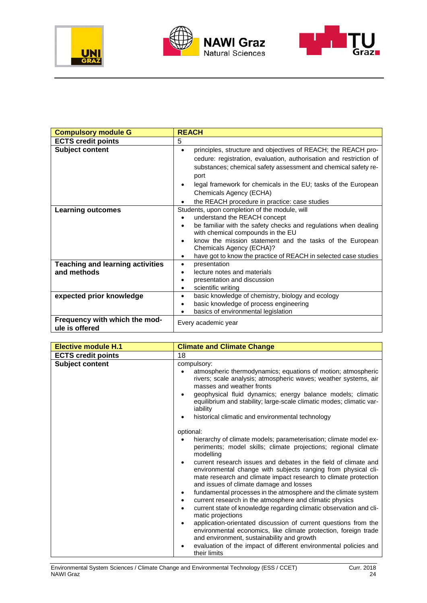





| <b>Compulsory module G</b>                             | <b>REACH</b>                                                                                                                                                                                                                                                                                                                                                                  |
|--------------------------------------------------------|-------------------------------------------------------------------------------------------------------------------------------------------------------------------------------------------------------------------------------------------------------------------------------------------------------------------------------------------------------------------------------|
| <b>ECTS credit points</b>                              | 5                                                                                                                                                                                                                                                                                                                                                                             |
| <b>Subject content</b>                                 | principles, structure and objectives of REACH; the REACH pro-<br>$\bullet$<br>cedure: registration, evaluation, authorisation and restriction of<br>substances; chemical safety assessment and chemical safety re-<br>port<br>legal framework for chemicals in the EU; tasks of the European<br>٠<br>Chemicals Agency (ECHA)<br>the REACH procedure in practice: case studies |
| <b>Learning outcomes</b>                               | Students, upon completion of the module, will<br>understand the REACH concept<br>be familiar with the safety checks and regulations when dealing<br>$\bullet$<br>with chemical compounds in the EU<br>know the mission statement and the tasks of the European<br>Chemicals Agency (ECHA)?<br>have got to know the practice of REACH in selected case studies<br>$\bullet$    |
| <b>Teaching and learning activities</b><br>and methods | presentation<br>٠<br>lecture notes and materials<br>$\bullet$<br>presentation and discussion<br>$\bullet$<br>scientific writing<br>٠                                                                                                                                                                                                                                          |
| expected prior knowledge                               | basic knowledge of chemistry, biology and ecology<br>$\bullet$<br>basic knowledge of process engineering<br>$\bullet$<br>basics of environmental legislation                                                                                                                                                                                                                  |
| Frequency with which the mod-<br>ule is offered        | Every academic year                                                                                                                                                                                                                                                                                                                                                           |

| <b>Elective module H.1</b> | <b>Climate and Climate Change</b>                                                                                                                                                                                                                                                                                                                                                                                                                                                                                                                                                                                                                                                                                                                                                                                                                                                                              |
|----------------------------|----------------------------------------------------------------------------------------------------------------------------------------------------------------------------------------------------------------------------------------------------------------------------------------------------------------------------------------------------------------------------------------------------------------------------------------------------------------------------------------------------------------------------------------------------------------------------------------------------------------------------------------------------------------------------------------------------------------------------------------------------------------------------------------------------------------------------------------------------------------------------------------------------------------|
| <b>ECTS credit points</b>  | 18                                                                                                                                                                                                                                                                                                                                                                                                                                                                                                                                                                                                                                                                                                                                                                                                                                                                                                             |
| <b>Subject content</b>     | compulsory:<br>atmospheric thermodynamics; equations of motion; atmospheric<br>rivers; scale analysis; atmospheric waves; weather systems, air<br>masses and weather fronts<br>geophysical fluid dynamics; energy balance models; climatic<br>equilibrium and stability; large-scale climatic modes; climatic var-<br>iability<br>historical climatic and environmental technology                                                                                                                                                                                                                                                                                                                                                                                                                                                                                                                             |
|                            | optional:<br>hierarchy of climate models; parameterisation; climate model ex-<br>periments; model skills; climate projections; regional climate<br>modelling<br>current research issues and debates in the field of climate and<br>environmental change with subjects ranging from physical cli-<br>mate research and climate impact research to climate protection<br>and issues of climate damage and losses<br>fundamental processes in the atmosphere and the climate system<br>current research in the atmosphere and climatic physics<br>current state of knowledge regarding climatic observation and cli-<br>matic projections<br>application-orientated discussion of current questions from the<br>environmental economics, like climate protection, foreign trade<br>and environment, sustainability and growth<br>evaluation of the impact of different environmental policies and<br>their limits |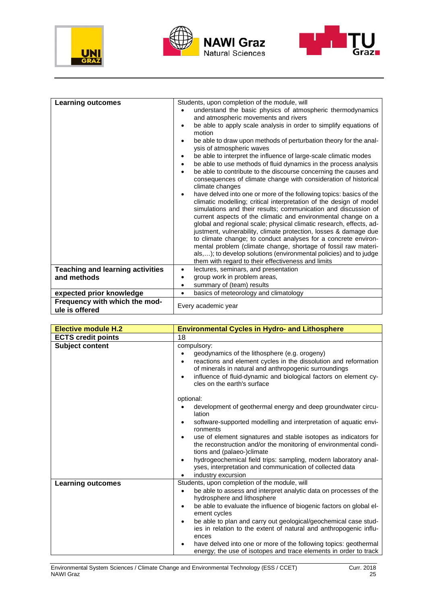





| <b>Learning outcomes</b>                | Students, upon completion of the module, will<br>understand the basic physics of atmospheric thermodynamics<br>and atmospheric movements and rivers<br>be able to apply scale analysis in order to simplify equations of<br>motion                                                                                                                                                                                                                                                                                                                                                                                                                                                     |
|-----------------------------------------|----------------------------------------------------------------------------------------------------------------------------------------------------------------------------------------------------------------------------------------------------------------------------------------------------------------------------------------------------------------------------------------------------------------------------------------------------------------------------------------------------------------------------------------------------------------------------------------------------------------------------------------------------------------------------------------|
|                                         | be able to draw upon methods of perturbation theory for the anal-<br>ysis of atmospheric waves<br>be able to interpret the influence of large-scale climatic modes<br>be able to use methods of fluid dynamics in the process analysis<br>$\bullet$<br>be able to contribute to the discourse concerning the causes and<br>consequences of climate change with consideration of historical<br>climate changes                                                                                                                                                                                                                                                                          |
|                                         | have delved into one or more of the following topics: basics of the<br>climatic modelling; critical interpretation of the design of model<br>simulations and their results; communication and discussion of<br>current aspects of the climatic and environmental change on a<br>global and regional scale; physical climatic research, effects, ad-<br>justment, vulnerability, climate protection, losses & damage due<br>to climate change; to conduct analyses for a concrete environ-<br>mental problem (climate change, shortage of fossil raw materi-<br>als,); to develop solutions (environmental policies) and to judge<br>them with regard to their effectiveness and limits |
| <b>Teaching and learning activities</b> | lectures, seminars, and presentation                                                                                                                                                                                                                                                                                                                                                                                                                                                                                                                                                                                                                                                   |
| and methods                             | group work in problem areas,                                                                                                                                                                                                                                                                                                                                                                                                                                                                                                                                                                                                                                                           |
| expected prior knowledge                | summary of (team) results<br>basics of meteorology and climatology                                                                                                                                                                                                                                                                                                                                                                                                                                                                                                                                                                                                                     |
| Frequency with which the mod-           |                                                                                                                                                                                                                                                                                                                                                                                                                                                                                                                                                                                                                                                                                        |
| ule is offered                          | Every academic year                                                                                                                                                                                                                                                                                                                                                                                                                                                                                                                                                                                                                                                                    |

| <b>Elective module H.2</b> | <b>Environmental Cycles in Hydro- and Lithosphere</b>                                                                                                                                                                                                                                                                                                                                                                                                                                                                                  |
|----------------------------|----------------------------------------------------------------------------------------------------------------------------------------------------------------------------------------------------------------------------------------------------------------------------------------------------------------------------------------------------------------------------------------------------------------------------------------------------------------------------------------------------------------------------------------|
| <b>ECTS credit points</b>  | 18                                                                                                                                                                                                                                                                                                                                                                                                                                                                                                                                     |
| <b>Subject content</b>     | compulsory:<br>geodynamics of the lithosphere (e.g. orogeny)<br>reactions and element cycles in the dissolution and reformation<br>$\bullet$<br>of minerals in natural and anthropogenic surroundings<br>influence of fluid-dynamic and biological factors on element cy-<br>$\bullet$<br>cles on the earth's surface                                                                                                                                                                                                                  |
|                            | optional:<br>development of geothermal energy and deep groundwater circu-<br>lation<br>software-supported modelling and interpretation of aquatic envi-<br>ronments<br>use of element signatures and stable isotopes as indicators for<br>the reconstruction and/or the monitoring of environmental condi-<br>tions and (palaeo-)climate<br>hydrogeochemical field trips: sampling, modern laboratory anal-<br>٠<br>yses, interpretation and communication of collected data<br>industry excursion                                     |
| <b>Learning outcomes</b>   | Students, upon completion of the module, will<br>be able to assess and interpret analytic data on processes of the<br>hydrosphere and lithosphere<br>be able to evaluate the influence of biogenic factors on global el-<br>٠<br>ement cycles<br>be able to plan and carry out geological/geochemical case stud-<br>ies in relation to the extent of natural and anthropogenic influ-<br>ences<br>have delved into one or more of the following topics: geothermal<br>energy; the use of isotopes and trace elements in order to track |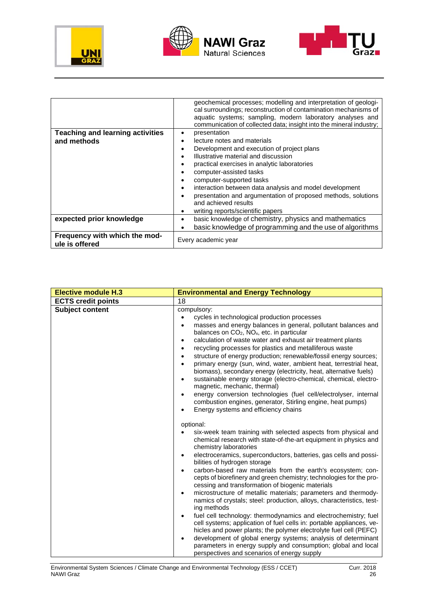





|                                                 | geochemical processes; modelling and interpretation of geologi-<br>cal surroundings; reconstruction of contamination mechanisms of<br>aquatic systems; sampling, modern laboratory analyses and<br>communication of collected data; insight into the mineral industry; |  |  |  |  |  |
|-------------------------------------------------|------------------------------------------------------------------------------------------------------------------------------------------------------------------------------------------------------------------------------------------------------------------------|--|--|--|--|--|
| <b>Teaching and learning activities</b>         | presentation                                                                                                                                                                                                                                                           |  |  |  |  |  |
| and methods                                     | lecture notes and materials                                                                                                                                                                                                                                            |  |  |  |  |  |
|                                                 | Development and execution of project plans                                                                                                                                                                                                                             |  |  |  |  |  |
|                                                 | Illustrative material and discussion                                                                                                                                                                                                                                   |  |  |  |  |  |
|                                                 | practical exercises in analytic laboratories                                                                                                                                                                                                                           |  |  |  |  |  |
|                                                 | computer-assisted tasks                                                                                                                                                                                                                                                |  |  |  |  |  |
|                                                 | computer-supported tasks                                                                                                                                                                                                                                               |  |  |  |  |  |
|                                                 | interaction between data analysis and model development                                                                                                                                                                                                                |  |  |  |  |  |
|                                                 | presentation and argumentation of proposed methods, solutions<br>and achieved results                                                                                                                                                                                  |  |  |  |  |  |
|                                                 | writing reports/scientific papers                                                                                                                                                                                                                                      |  |  |  |  |  |
| expected prior knowledge                        | basic knowledge of chemistry, physics and mathematics                                                                                                                                                                                                                  |  |  |  |  |  |
|                                                 | basic knowledge of programming and the use of algorithms                                                                                                                                                                                                               |  |  |  |  |  |
| Frequency with which the mod-<br>ule is offered | Every academic year                                                                                                                                                                                                                                                    |  |  |  |  |  |

| <b>Elective module H.3</b> | <b>Environmental and Energy Technology</b>                                                                                                                                                                                                                                                                                                                                                                                                                                                                                                                                                                                                                                                                                                                                                                                                                                                                                                                                                                                                                                                           |
|----------------------------|------------------------------------------------------------------------------------------------------------------------------------------------------------------------------------------------------------------------------------------------------------------------------------------------------------------------------------------------------------------------------------------------------------------------------------------------------------------------------------------------------------------------------------------------------------------------------------------------------------------------------------------------------------------------------------------------------------------------------------------------------------------------------------------------------------------------------------------------------------------------------------------------------------------------------------------------------------------------------------------------------------------------------------------------------------------------------------------------------|
| <b>ECTS credit points</b>  | 18                                                                                                                                                                                                                                                                                                                                                                                                                                                                                                                                                                                                                                                                                                                                                                                                                                                                                                                                                                                                                                                                                                   |
| <b>Subject content</b>     | compulsory:<br>cycles in technological production processes<br>$\bullet$<br>masses and energy balances in general, pollutant balances and<br>$\bullet$<br>balances on CO <sub>2</sub> , NO <sub>x</sub> , etc. in particular<br>calculation of waste water and exhaust air treatment plants<br>$\bullet$<br>recycling processes for plastics and metalliferous waste<br>$\bullet$<br>structure of energy production; renewable/fossil energy sources;<br>$\bullet$<br>primary energy (sun, wind, water, ambient heat, terrestrial heat,<br>$\bullet$<br>biomass), secondary energy (electricity, heat, alternative fuels)<br>sustainable energy storage (electro-chemical, chemical, electro-<br>$\bullet$<br>magnetic, mechanic, thermal)<br>energy conversion technologies (fuel cell/electrolyser, internal<br>$\bullet$<br>combustion engines, generator, Stirling engine, heat pumps)<br>Energy systems and efficiency chains                                                                                                                                                                   |
|                            | optional:<br>six-week team training with selected aspects from physical and<br>chemical research with state-of-the-art equipment in physics and<br>chemistry laboratories<br>electroceramics, superconductors, batteries, gas cells and possi-<br>$\bullet$<br>bilities of hydrogen storage<br>carbon-based raw materials from the earth's ecosystem; con-<br>$\bullet$<br>cepts of biorefinery and green chemistry; technologies for the pro-<br>cessing and transformation of biogenic materials<br>microstructure of metallic materials; parameters and thermody-<br>$\bullet$<br>namics of crystals; steel: production, alloys, characteristics, test-<br>ing methods<br>fuel cell technology: thermodynamics and electrochemistry; fuel<br>$\bullet$<br>cell systems; application of fuel cells in: portable appliances, ve-<br>hicles and power plants; the polymer electrolyte fuel cell (PEFC)<br>development of global energy systems; analysis of determinant<br>$\bullet$<br>parameters in energy supply and consumption; global and local<br>perspectives and scenarios of energy supply |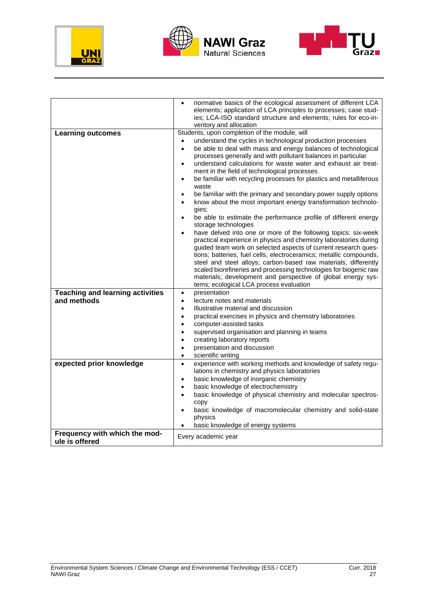





|                                         | normative basics of the ecological assessment of different LCA<br>$\bullet$                                                           |  |  |  |  |
|-----------------------------------------|---------------------------------------------------------------------------------------------------------------------------------------|--|--|--|--|
|                                         | elements; application of LCA principles to processes; case stud-                                                                      |  |  |  |  |
|                                         | ies; LCA-ISO standard structure and elements; rules for eco-in-                                                                       |  |  |  |  |
|                                         | ventory and allocation                                                                                                                |  |  |  |  |
| <b>Learning outcomes</b>                | Students, upon completion of the module, will                                                                                         |  |  |  |  |
|                                         | understand the cycles in technological production processes                                                                           |  |  |  |  |
|                                         | be able to deal with mass and energy balances of technological<br>$\bullet$                                                           |  |  |  |  |
|                                         | processes generally and with pollutant balances in particular<br>understand calculations for waste water and exhaust air treat-       |  |  |  |  |
|                                         | ment in the field of technological processes                                                                                          |  |  |  |  |
|                                         | be familiar with recycling processes for plastics and metalliferous<br>$\bullet$                                                      |  |  |  |  |
|                                         | waste                                                                                                                                 |  |  |  |  |
|                                         | be familiar with the primary and secondary power supply options<br>$\bullet$                                                          |  |  |  |  |
|                                         | know about the most important energy transformation technolo-<br>$\bullet$<br>gies;                                                   |  |  |  |  |
|                                         | be able to estimate the performance profile of different energy<br>$\bullet$<br>storage technologies                                  |  |  |  |  |
|                                         | have delved into one or more of the following topics: six-week                                                                        |  |  |  |  |
|                                         | practical experience in physics and chemistry laboratories during                                                                     |  |  |  |  |
|                                         | guided team work on selected aspects of current research ques-                                                                        |  |  |  |  |
|                                         | tions; batteries, fuel cells, electroceramics; metallic compounds,<br>steel and steel alloys; carbon-based raw materials, differently |  |  |  |  |
|                                         |                                                                                                                                       |  |  |  |  |
|                                         | scaled biorefineries and processing technologies for biogenic raw<br>materials; development and perspective of global energy sys-     |  |  |  |  |
|                                         | tems; ecological LCA process evaluation                                                                                               |  |  |  |  |
| <b>Teaching and learning activities</b> | presentation<br>$\bullet$                                                                                                             |  |  |  |  |
| and methods                             | lecture notes and materials<br>$\bullet$                                                                                              |  |  |  |  |
|                                         | Illustrative material and discussion<br>$\bullet$                                                                                     |  |  |  |  |
|                                         | practical exercises in physics and chemistry laboratories<br>$\bullet$                                                                |  |  |  |  |
|                                         | computer-assisted tasks<br>$\bullet$                                                                                                  |  |  |  |  |
|                                         | supervised organisation and planning in teams<br>$\bullet$                                                                            |  |  |  |  |
|                                         | creating laboratory reports<br>$\bullet$                                                                                              |  |  |  |  |
|                                         | presentation and discussion<br>$\bullet$                                                                                              |  |  |  |  |
|                                         | scientific writing<br>$\bullet$                                                                                                       |  |  |  |  |
| expected prior knowledge                | experience with working methods and knowledge of safety regu-<br>$\bullet$                                                            |  |  |  |  |
|                                         | lations in chemistry and physics laboratories                                                                                         |  |  |  |  |
|                                         | basic knowledge of inorganic chemistry<br>$\bullet$                                                                                   |  |  |  |  |
|                                         | basic knowledge of electrochemistry<br>basic knowledge of physical chemistry and molecular spectros-<br>$\bullet$                     |  |  |  |  |
|                                         | copy                                                                                                                                  |  |  |  |  |
|                                         | basic knowledge of macromolecular chemistry and solid-state                                                                           |  |  |  |  |
|                                         | physics                                                                                                                               |  |  |  |  |
|                                         | basic knowledge of energy systems                                                                                                     |  |  |  |  |
| Frequency with which the mod-           | Every academic year                                                                                                                   |  |  |  |  |
| ule is offered                          |                                                                                                                                       |  |  |  |  |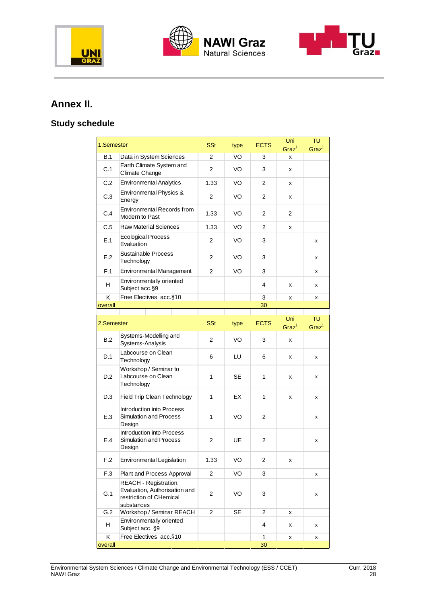





### **Annex II.**

### **Study schedule**

| 1.Semester |                                                                                                 | <b>SSt</b>     | type      | <b>ECTS</b>    | Uni<br>Graz <sup>1</sup> | TU<br>Graz <sup>1</sup> |
|------------|-------------------------------------------------------------------------------------------------|----------------|-----------|----------------|--------------------------|-------------------------|
| B.1        | Data in System Sciences                                                                         | 2              | VO        | 3              | x                        |                         |
| C.1        | Earth Climate System and<br>Climate Change                                                      | $\overline{2}$ | VO        | 3              | x                        |                         |
| C.2        | <b>Environmental Analytics</b>                                                                  | 1.33           | VO        | 2              | x                        |                         |
| C.3        | Environmental Physics &<br>Energy                                                               | $\overline{c}$ | VO        | 2              | x                        |                         |
| C.4        | <b>Environmental Records from</b><br>Modern to Past                                             | 1.33           | VO        | $\overline{2}$ | 2                        |                         |
| C.5        | <b>Raw Material Sciences</b>                                                                    | 1.33           | VO        | $\overline{2}$ | x                        |                         |
| E.1        | <b>Ecological Process</b><br>Evaluation                                                         | $\overline{2}$ | VO        | 3              |                          | x                       |
| E.2        | Sustainable Process<br>Technology                                                               | 2              | VO        | 3              |                          | x                       |
| F.1        | <b>Environmental Management</b>                                                                 | $\overline{2}$ | VO        | 3              |                          | x                       |
| H          | Environmentally oriented<br>Subject acc.§9                                                      |                |           | 4              | x                        | x                       |
| Κ          | Free Electives acc.§10                                                                          |                |           | 3              | x                        | x                       |
| overall    |                                                                                                 |                |           | 30             |                          |                         |
| 2.Semester |                                                                                                 | <b>SSt</b>     | type      | <b>ECTS</b>    | Uni<br>Graz <sup>1</sup> | TU<br>Graz <sup>1</sup> |
| B.2        | Systems-Modelling and<br>Systems-Analysis                                                       | $\overline{2}$ | VO        | 3              | x                        |                         |
| D.1        | Labcourse on Clean<br>Technology                                                                | 6              | LU        | 6              | x                        | x                       |
| D.2        | Workshop / Seminar to<br>Labcourse on Clean<br>Technology                                       | 1              | <b>SE</b> | 1              | x                        | x                       |
| D.3        | Field Trip Clean Technology                                                                     | $\mathbf{1}$   | EX        | 1              | x                        | x                       |
| E.3        | Introduction into Process<br><b>Simulation and Process</b><br>Design                            | $\mathbf{1}$   | VO        | $\overline{2}$ |                          | x                       |
| E.4        | Introduction into Process<br><b>Simulation and Process</b><br>Design                            | 2              | UE        | $\overline{2}$ |                          | x                       |
| F.2        | Environmental Legislation                                                                       | 1.33           | VO        | 2              | x                        |                         |
| F.3        | Plant and Process Approval                                                                      | $\overline{2}$ | VO        | 3              |                          | x                       |
| G.1        | REACH - Registration,<br>Evaluation, Authorisation and<br>restriction of CHemical<br>substances | 2              | VO        | 3              |                          | x                       |
| G.2        | Workshop / Seminar REACH                                                                        | $\overline{2}$ | <b>SE</b> | 2              | x                        |                         |
| н          | Environmentally oriented<br>Subject acc. §9                                                     |                |           | 4              | x                        | x                       |
| Κ          | Free Electives acc.§10                                                                          |                |           | 1              | x                        | x                       |
| overall    |                                                                                                 |                |           | 30             |                          |                         |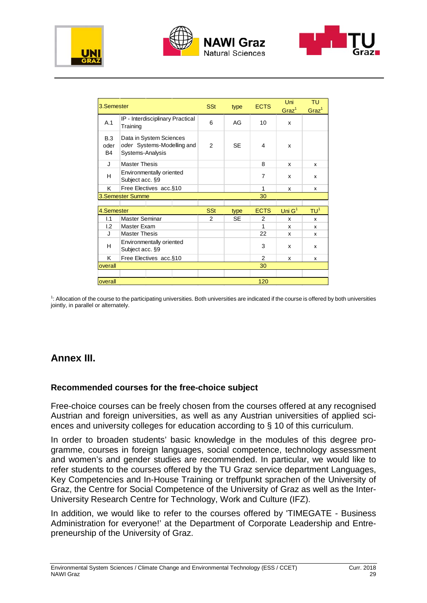





| 3.Semester                    |                                                                           | <b>SSt</b> | type      | <b>ECTS</b>    | Uni<br>Graz <sup>1</sup> | TU<br>Graz <sup>1</sup> |
|-------------------------------|---------------------------------------------------------------------------|------------|-----------|----------------|--------------------------|-------------------------|
| A.1                           | IP - Interdisciplinary Practical<br>Training                              | 6          | AG        | 10             | x                        |                         |
| B.3<br>oder<br>B <sub>4</sub> | Data in System Sciences<br>oder Systems-Modelling and<br>Systems-Analysis | 2          | <b>SE</b> | 4              | x                        |                         |
| J                             | <b>Master Thesis</b>                                                      |            |           | 8              | x                        | x                       |
| н                             | Environmentally oriented<br>Subject acc. §9                               |            |           | 7              | x                        | x                       |
| K                             | Free Electives acc.§10                                                    |            |           | 1              | x                        | x                       |
|                               | 3.Semester Summe                                                          |            |           | 30             |                          |                         |
|                               |                                                                           |            |           |                |                          |                         |
| 4.Semester                    |                                                                           | <b>SSt</b> | type      | <b>ECTS</b>    | Uni $G1$                 | TU <sup>1</sup>         |
| 1.1                           | Master Seminar                                                            | 2          | <b>SE</b> | 2              | x                        | x                       |
| L2                            | Master Exam                                                               |            |           | 1              | x                        | x                       |
| J                             | <b>Master Thesis</b>                                                      |            |           | 22             | x                        | x                       |
| н                             | Environmentally oriented<br>Subject acc. §9                               |            |           | 3              | x                        | x                       |
| K                             | Free Electives acc.§10                                                    |            |           | $\overline{2}$ | x                        | x                       |
| overall                       |                                                                           |            |           | 30             |                          |                         |
|                               |                                                                           |            |           |                |                          |                         |
| 120<br>overall                |                                                                           |            |           |                |                          |                         |

1 : Allocation of the course to the participating universities. Both universities are indicated if the course is offered by both universities jointly, in parallel or alternately.

### **Annex III.**

#### **Recommended courses for the free-choice subject**

Free-choice courses can be freely chosen from the courses offered at any recognised Austrian and foreign universities, as well as any Austrian universities of applied sciences and university colleges for education according to § 10 of this curriculum.

In order to broaden students' basic knowledge in the modules of this degree programme, courses in foreign languages, social competence, technology assessment and women's and gender studies are recommended. In particular, we would like to refer students to the courses offered by the TU Graz service department Languages, Key Competencies and In-House Training or treffpunkt sprachen of the University of Graz, the Centre for Social Competence of the University of Graz as well as the Inter-University Research Centre for Technology, Work and Culture (IFZ).

In addition, we would like to refer to the courses offered by 'TIMEGATE - Business Administration for everyone!' at the Department of Corporate Leadership and Entrepreneurship of the University of Graz.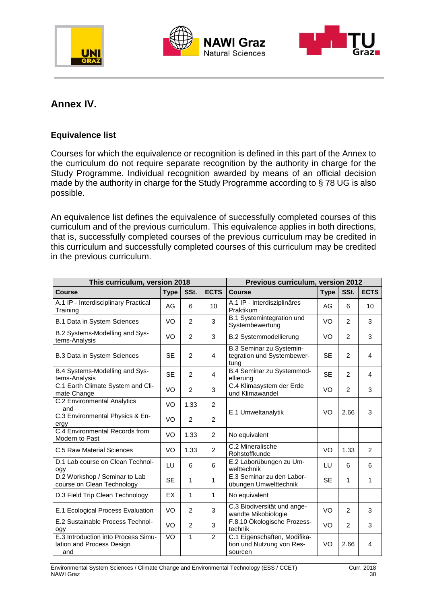





### **Annex IV.**

### **Equivalence list**

Courses for which the equivalence or recognition is defined in this part of the Annex to the curriculum do not require separate recognition by the authority in charge for the Study Programme. Individual recognition awarded by means of an official decision made by the authority in charge for the Study Programme according to § 78 UG is also possible.

An equivalence list defines the equivalence of successfully completed courses of this curriculum and of the previous curriculum. This equivalence applies in both directions, that is, successfully completed courses of the previous curriculum may be credited in this curriculum and successfully completed courses of this curriculum may be credited in the previous curriculum.

| This curriculum, version 2018                                           | Previous curriculum, version 2012 |                |                |                                                                      |             |                |             |
|-------------------------------------------------------------------------|-----------------------------------|----------------|----------------|----------------------------------------------------------------------|-------------|----------------|-------------|
| <b>Course</b>                                                           | <b>Type</b>                       | SSt.           | <b>ECTS</b>    | <b>Course</b>                                                        | <b>Type</b> | SSt.           | <b>ECTS</b> |
| A.1 IP - Interdisciplinary Practical<br>Training                        | AG                                | 6              | 10             | A.1 IP - Interdisziplinäres<br>Praktikum                             | AG          | 6              | 10          |
| B.1 Data in System Sciences                                             | VO                                | $\overline{2}$ | 3              | B.1 Systemintegration und<br>Systembewertung                         | VO          | $\overline{2}$ | 3           |
| B.2 Systems-Modelling and Sys-<br>tems-Analysis                         | VO                                | $\overline{2}$ | 3              | <b>B.2 Systemmodellierung</b>                                        | VO          | $\mathfrak{p}$ | 3           |
| <b>B.3 Data in System Sciences</b>                                      | <b>SE</b>                         | $\mathcal{P}$  | $\overline{4}$ | B.3 Seminar zu Systemin-<br>tegration und Systembewer-<br>tung       | <b>SE</b>   | $\mathfrak{p}$ | 4           |
| B.4 Systems-Modelling and Sys-<br>tems-Analysis                         | <b>SE</b>                         | $\overline{2}$ | $\overline{4}$ | B.4 Seminar zu Systemmod-<br>ellierung                               | <b>SE</b>   | $\overline{2}$ | 4           |
| C.1 Earth Climate System and Cli-<br>mate Change                        | VO                                | $\overline{2}$ | 3              | C.4 Klimasystem der Erde<br>und Klimawandel                          | VO          | $\overline{2}$ | 3           |
| <b>C.2 Environmental Analytics</b><br>and                               | VO                                | 1.33           | 2              |                                                                      | VO          |                |             |
| C.3 Environmental Physics & En-<br>ergy                                 | VO                                | $\overline{2}$ | 2              | E.1 Umweltanalytik                                                   |             | 2.66           | 3           |
| C.4 Environmental Records from<br>Modern to Past                        | VO                                | 1.33           | 2              | No equivalent                                                        |             |                |             |
| C.5 Raw Material Sciences                                               | VO                                | 1.33           | 2              | C.2 Mineralische<br>Rohstoffkunde                                    | VO          | 1.33           | 2           |
| D.1 Lab course on Clean Technol-<br>ogy                                 | LU                                | 6              | 6              | E.2 Laborübungen zu Um-<br>welttechnik                               | LU          | 6              | 6           |
| D.2 Workshop / Seminar to Lab<br>course on Clean Technology             | <b>SE</b>                         | 1              | 1              | E.3 Seminar zu den Labor-<br>übungen Umwelttechnik                   | <b>SE</b>   | 1              | 1           |
| D.3 Field Trip Clean Technology                                         | EX                                | 1              | 1              | No equivalent                                                        |             |                |             |
| E.1 Ecological Process Evaluation                                       | VO                                | $\overline{2}$ | 3              | C.3 Biodiversität und ange-<br>wandte Mikobiologie                   | VO          | 2              | 3           |
| E.2 Sustainable Process Technol-<br>ogy                                 | VO                                | $\overline{2}$ | 3              | F.8.10 Ökologische Prozess-<br>technik                               | VO          | $\overline{2}$ | 3           |
| E.3 Introduction into Process Simu-<br>lation and Process Design<br>and | $\overline{SO}$                   | $\mathbf{1}$   | $\overline{2}$ | C.1 Eigenschaften, Modifika-<br>tion und Nutzung von Res-<br>sourcen | VO          | 2.66           | 4           |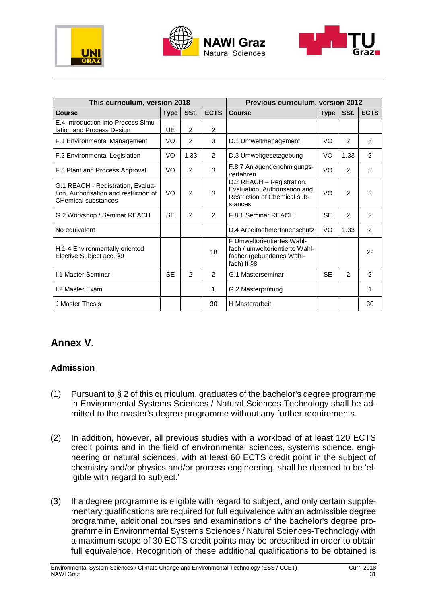





| This curriculum, version 2018                                                                             | Previous curriculum, version 2012 |                |                                                                                                                 |                                                                                                       |           |                |               |
|-----------------------------------------------------------------------------------------------------------|-----------------------------------|----------------|-----------------------------------------------------------------------------------------------------------------|-------------------------------------------------------------------------------------------------------|-----------|----------------|---------------|
| Course                                                                                                    | <b>Type</b>                       | SSt.           | <b>ECTS</b>                                                                                                     | <b>Course</b>                                                                                         |           | SSt.           | <b>ECTS</b>   |
| E.4 Introduction into Process Simu-<br>lation and Process Design                                          | UE                                | 2              | 2                                                                                                               |                                                                                                       |           |                |               |
| F.1 Environmental Management                                                                              | VO                                | 2              | 3                                                                                                               | D.1 Umweltmanagement                                                                                  | VO        | $\overline{2}$ | 3             |
| F.2 Environmental Legislation                                                                             | VO                                | 1.33           | 2                                                                                                               | D.3 Umweltgesetzgebung                                                                                | VO        | 1.33           | 2             |
| F.3 Plant and Process Approval                                                                            | VO                                | 2              | 3                                                                                                               | F.8.7 Anlagengenehmigungs-<br>verfahren                                                               | VO        | $\mathcal{P}$  | 3             |
| G.1 REACH - Registration, Evalua-<br>tion, Authorisation and restriction of<br><b>CHemical substances</b> | VO                                | $\overline{2}$ | 3                                                                                                               | D.2 REACH - Registration,<br>Evaluation, Authorisation and<br>Restriction of Chemical sub-<br>stances | VO        | $\overline{2}$ | 3             |
| G.2 Workshop / Seminar REACH                                                                              | <b>SE</b>                         | 2              | $\mathcal{P}$<br>F.8.1 Seminar REACH                                                                            |                                                                                                       | <b>SE</b> | 2              | 2             |
| No equivalent                                                                                             |                                   |                | D.4 ArbeitnehmerInnenschutz                                                                                     |                                                                                                       | VO        | 1.33           | 2             |
| H.1-4 Environmentally oriented<br>Elective Subject acc. §9                                                |                                   |                | F Umweltorientiertes Wahl-<br>fach / umweltorientierte Wahl-<br>18<br>fächer (gebundenes Wahl-<br>fach) It $§8$ |                                                                                                       |           |                | 22            |
| <b>I.1 Master Seminar</b>                                                                                 | <b>SE</b>                         | 2              | 2                                                                                                               | G.1 Masterseminar                                                                                     | <b>SE</b> | $\mathcal{P}$  | $\mathcal{P}$ |
| I.2 Master Exam                                                                                           |                                   |                | 1                                                                                                               | G.2 Masterprüfung                                                                                     |           |                | 1             |
| J Master Thesis                                                                                           |                                   |                | 30                                                                                                              | <b>H</b> Masterarbeit                                                                                 |           |                | 30            |

### **Annex V.**

### **Admission**

- (1) Pursuant to  $\S 2$  of this curriculum, graduates of the bachelor's degree programme in Environmental Systems Sciences / Natural Sciences-Technology shall be admitted to the master's degree programme without any further requirements.
- (2) In addition, however, all previous studies with a workload of at least 120 ECTS credit points and in the field of environmental sciences, systems science, engineering or natural sciences, with at least 60 ECTS credit point in the subject of chemistry and/or physics and/or process engineering, shall be deemed to be 'eligible with regard to subject.'
- (3) If a degree programme is eligible with regard to subject, and only certain supplementary qualifications are required for full equivalence with an admissible degree programme, additional courses and examinations of the bachelor's degree programme in Environmental Systems Sciences / Natural Sciences-Technology with a maximum scope of 30 ECTS credit points may be prescribed in order to obtain full equivalence. Recognition of these additional qualifications to be obtained is